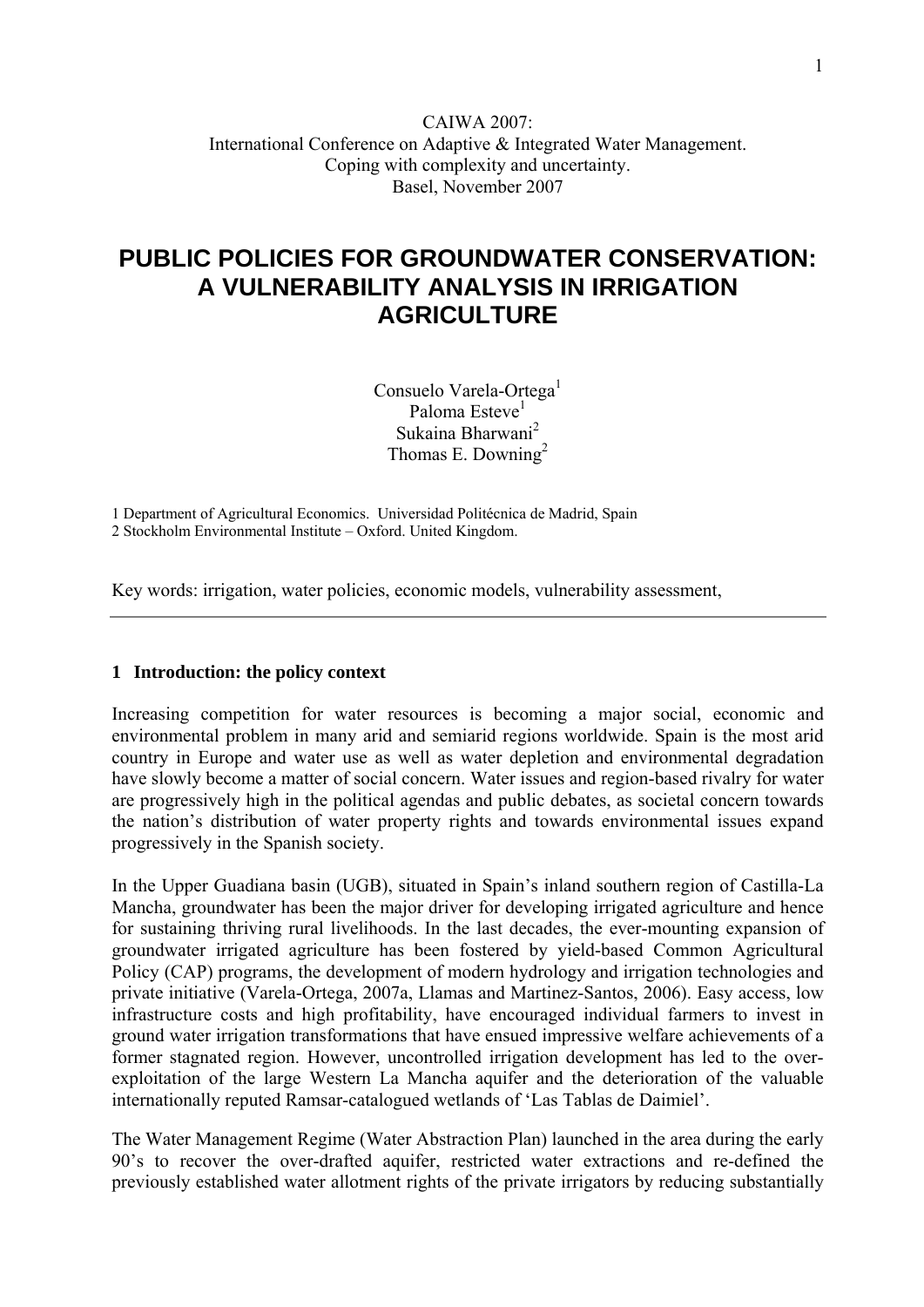## CAIWA 2007: International Conference on Adaptive & Integrated Water Management. Coping with complexity and uncertainty. Basel, November 2007

## **PUBLIC POLICIES FOR GROUNDWATER CONSERVATION: A VULNERABILITY ANALYSIS IN IRRIGATION AGRICULTURE**

Consuelo Varela-Ortega<sup>1</sup> Paloma Esteve<sup>1</sup> Sukaina Bharwani<sup>2</sup> Thomas E. Downing<sup>2</sup>

1 Department of Agricultural Economics. Universidad Politécnica de Madrid, Spain 2 Stockholm Environmental Institute – Oxford. United Kingdom.

Key words: irrigation, water policies, economic models, vulnerability assessment,

#### **1 Introduction: the policy context**

Increasing competition for water resources is becoming a major social, economic and environmental problem in many arid and semiarid regions worldwide. Spain is the most arid country in Europe and water use as well as water depletion and environmental degradation have slowly become a matter of social concern. Water issues and region-based rivalry for water are progressively high in the political agendas and public debates, as societal concern towards the nation's distribution of water property rights and towards environmental issues expand progressively in the Spanish society.

In the Upper Guadiana basin (UGB), situated in Spain's inland southern region of Castilla-La Mancha, groundwater has been the major driver for developing irrigated agriculture and hence for sustaining thriving rural livelihoods. In the last decades, the ever-mounting expansion of groundwater irrigated agriculture has been fostered by yield-based Common Agricultural Policy (CAP) programs, the development of modern hydrology and irrigation technologies and private initiative (Varela-Ortega, 2007a, Llamas and Martinez-Santos, 2006). Easy access, low infrastructure costs and high profitability, have encouraged individual farmers to invest in ground water irrigation transformations that have ensued impressive welfare achievements of a former stagnated region. However, uncontrolled irrigation development has led to the overexploitation of the large Western La Mancha aquifer and the deterioration of the valuable internationally reputed Ramsar-catalogued wetlands of 'Las Tablas de Daimiel'.

The Water Management Regime (Water Abstraction Plan) launched in the area during the early 90's to recover the over-drafted aquifer, restricted water extractions and re-defined the previously established water allotment rights of the private irrigators by reducing substantially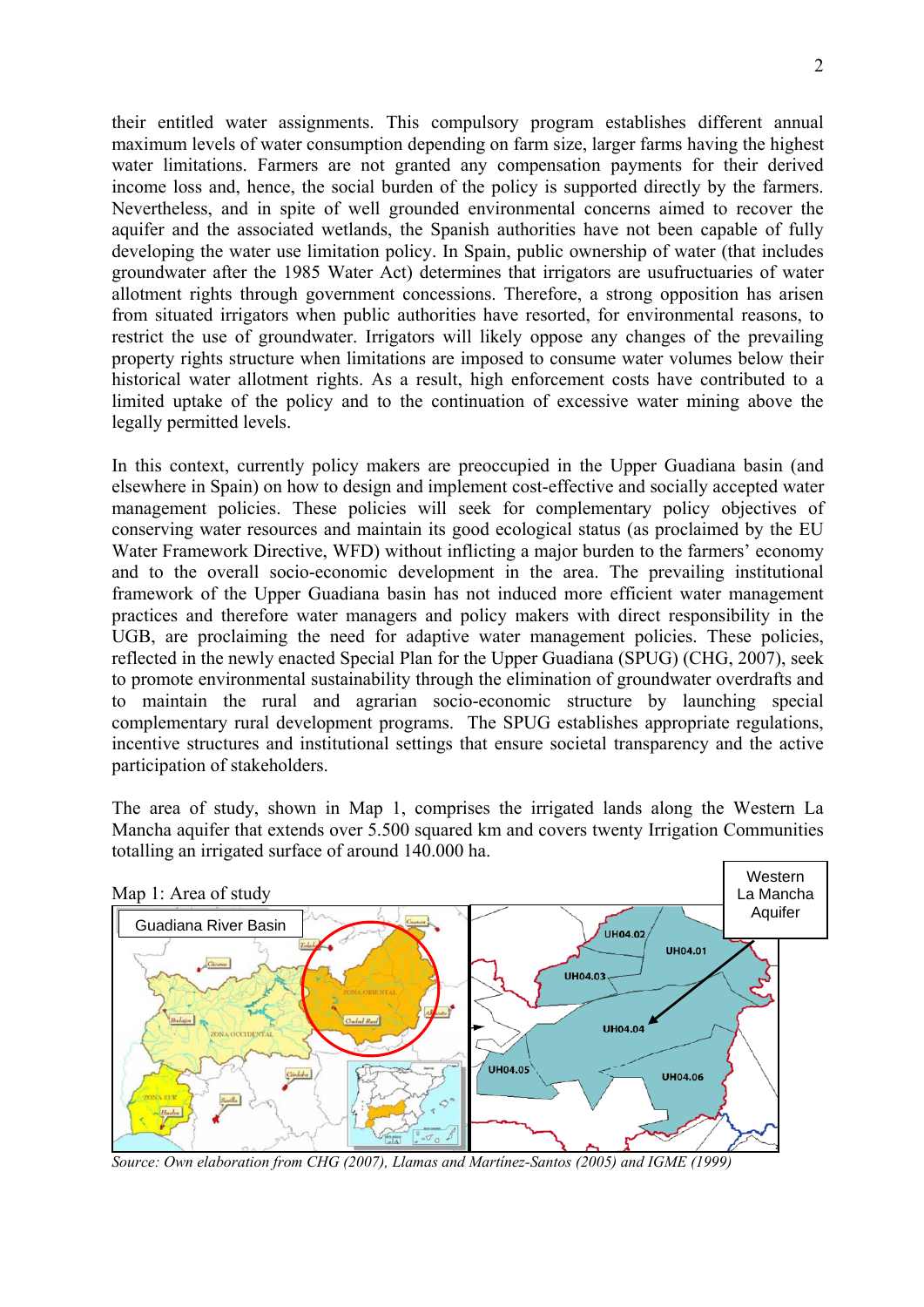their entitled water assignments. This compulsory program establishes different annual maximum levels of water consumption depending on farm size, larger farms having the highest water limitations. Farmers are not granted any compensation payments for their derived income loss and, hence, the social burden of the policy is supported directly by the farmers. Nevertheless, and in spite of well grounded environmental concerns aimed to recover the aquifer and the associated wetlands, the Spanish authorities have not been capable of fully developing the water use limitation policy. In Spain, public ownership of water (that includes groundwater after the 1985 Water Act) determines that irrigators are usufructuaries of water allotment rights through government concessions. Therefore, a strong opposition has arisen from situated irrigators when public authorities have resorted, for environmental reasons, to restrict the use of groundwater. Irrigators will likely oppose any changes of the prevailing property rights structure when limitations are imposed to consume water volumes below their historical water allotment rights. As a result, high enforcement costs have contributed to a limited uptake of the policy and to the continuation of excessive water mining above the legally permitted levels.

In this context, currently policy makers are preoccupied in the Upper Guadiana basin (and elsewhere in Spain) on how to design and implement cost-effective and socially accepted water management policies. These policies will seek for complementary policy objectives of conserving water resources and maintain its good ecological status (as proclaimed by the EU Water Framework Directive, WFD) without inflicting a major burden to the farmers' economy and to the overall socio-economic development in the area. The prevailing institutional framework of the Upper Guadiana basin has not induced more efficient water management practices and therefore water managers and policy makers with direct responsibility in the UGB, are proclaiming the need for adaptive water management policies. These policies, reflected in the newly enacted Special Plan for the Upper Guadiana (SPUG) (CHG, 2007), seek to promote environmental sustainability through the elimination of groundwater overdrafts and to maintain the rural and agrarian socio-economic structure by launching special complementary rural development programs. The SPUG establishes appropriate regulations, incentive structures and institutional settings that ensure societal transparency and the active participation of stakeholders.

The area of study, shown in Map 1, comprises the irrigated lands along the Western La Mancha aquifer that extends over 5.500 squared km and covers twenty Irrigation Communities totalling an irrigated surface of around 140.000 ha.



Source: Own elaboration from CHG (2007), Llamas and Martínez-Santos (2005) and IGME (1999)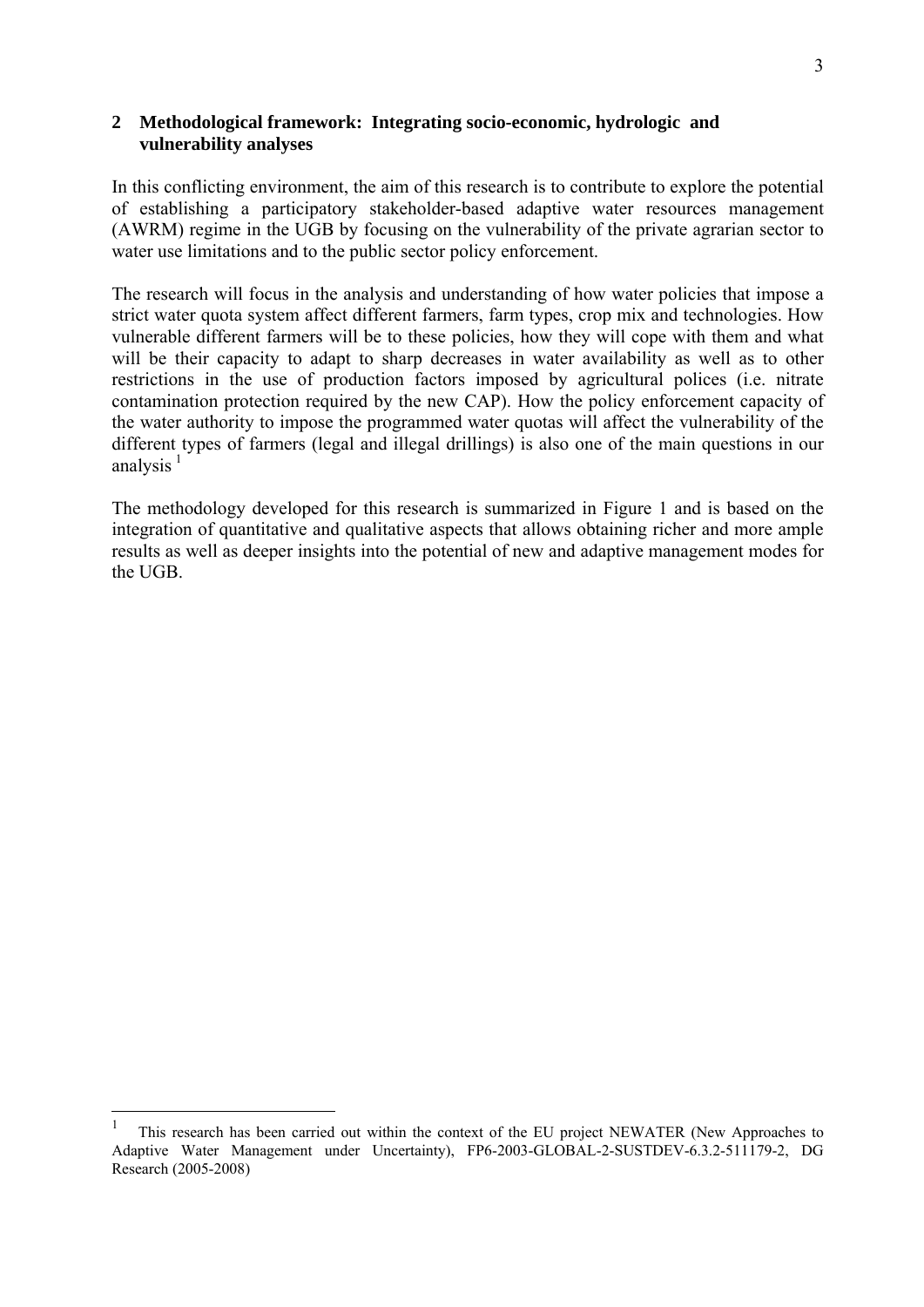## <span id="page-2-0"></span>**2 Methodological framework: Integrating socio-economic, hydrologic and vulnerability analyses**

In this conflicting environment, the aim of this research is to contribute to explore the potential of establishing a participatory stakeholder-based adaptive water resources management (AWRM) regime in the UGB by focusing on the vulnerability of the private agrarian sector to water use limitations and to the public sector policy enforcement.

The research will focus in the analysis and understanding of how water policies that impose a strict water quota system affect different farmers, farm types, crop mix and technologies. How vulnerable different farmers will be to these policies, how they will cope with them and what will be their capacity to adapt to sharp decreases in water availability as well as to other restrictions in the use of production factors imposed by agricultural polices (i.e. nitrate contamination protection required by the new CAP). How the policy enforcement capacity of the water authority to impose the programmed water quotas will affect the vulnerability of the different types of farmers (legal and illegal drillings) is also one of the main questions in our analysis $<sup>1</sup>$  $<sup>1</sup>$  $<sup>1</sup>$ </sup>

The methodology developed for this research is summarized in Figure 1 and is based on the integration of quantitative and qualitative aspects that allows obtaining richer and more ample results as well as deeper insights into the potential of new and adaptive management modes for the UGB.

1

<sup>1</sup> This research has been carried out within the context of the EU project NEWATER (New Approaches to Adaptive Water Management under Uncertainty), FP6-2003-GLOBAL-2-SUSTDEV-6.3.2-511179-2, DG Research (2005-2008)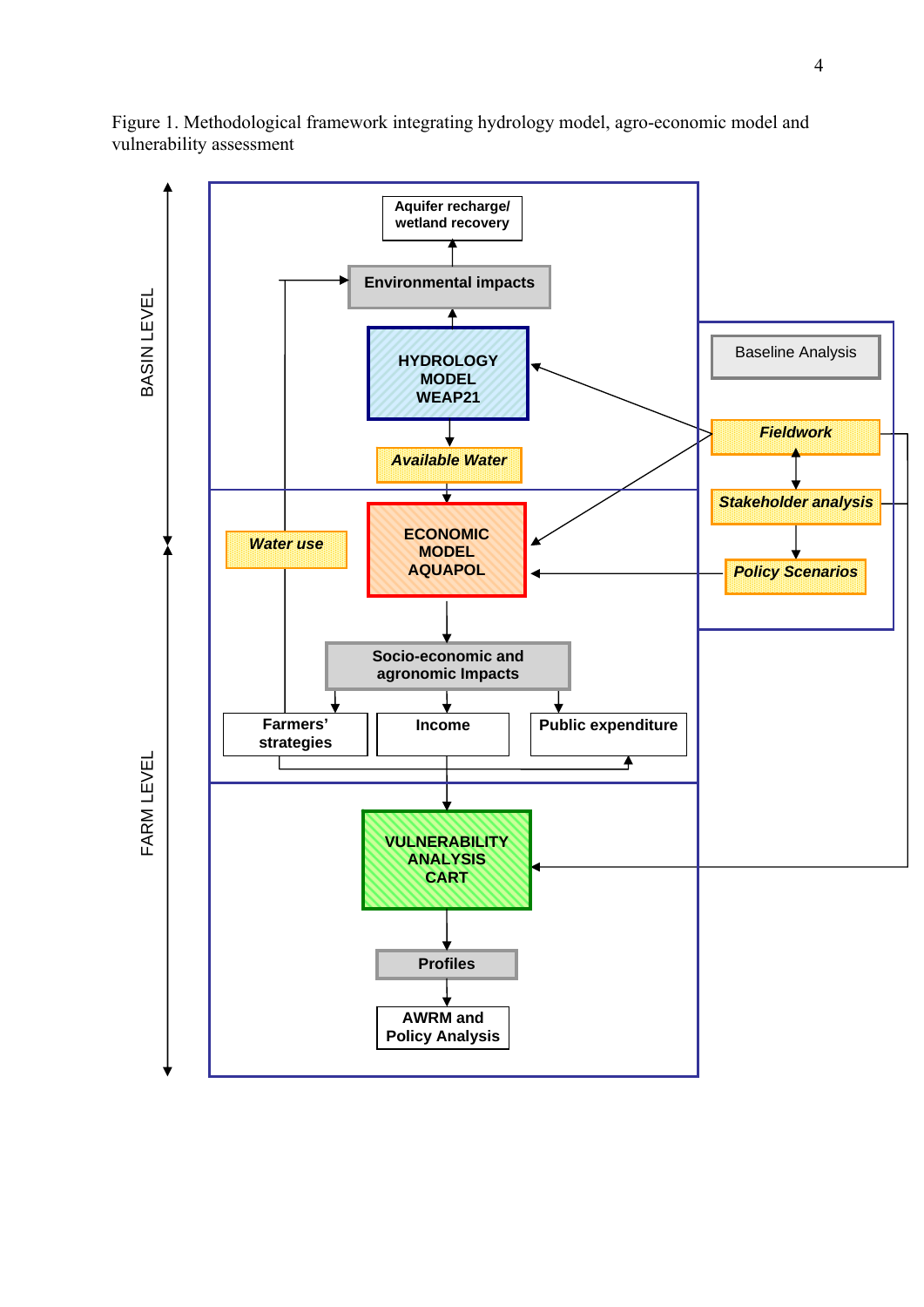

Figure 1. Methodological framework integrating hydrology model, agro-economic model and vulnerability assessment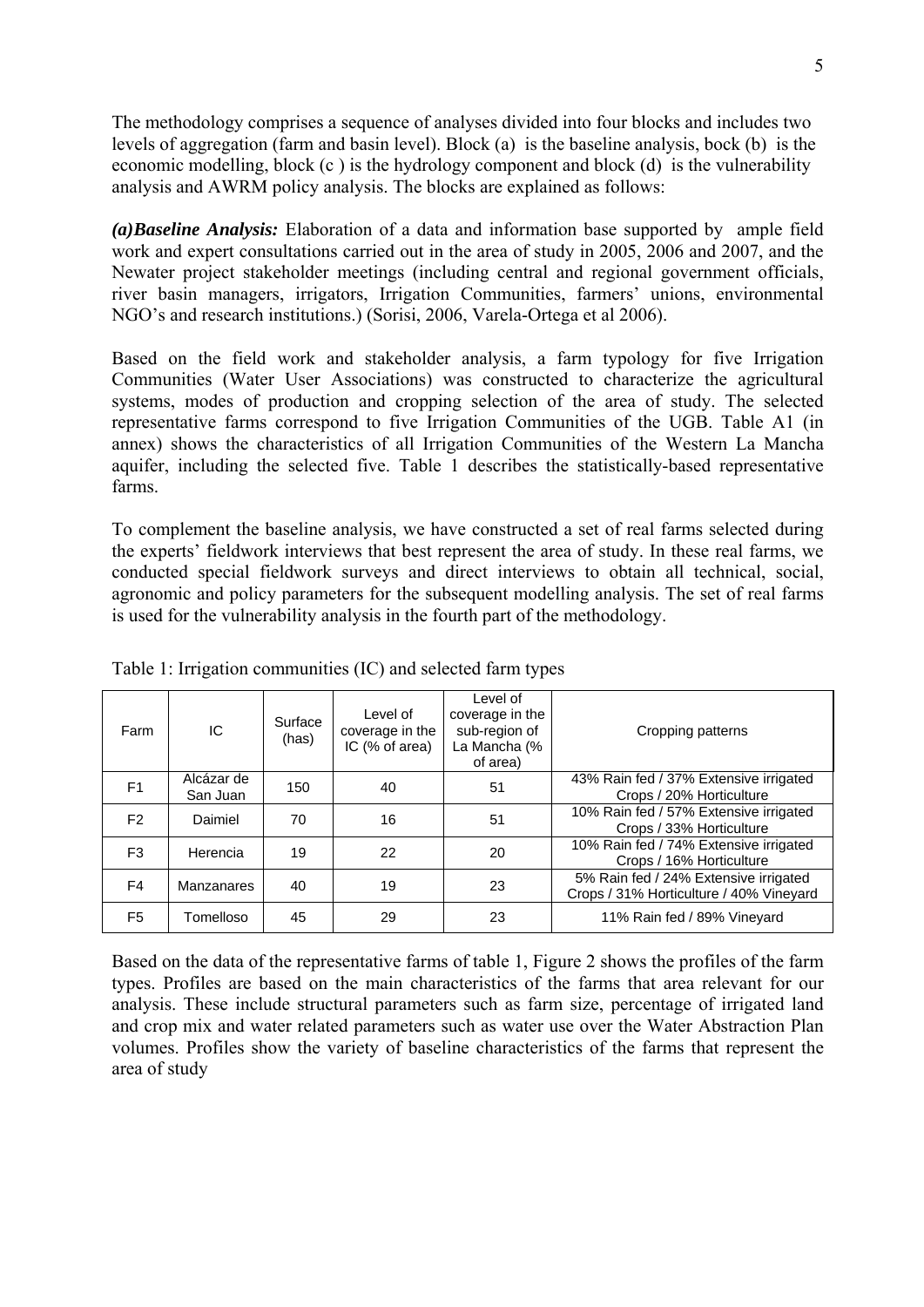The methodology comprises a sequence of analyses divided into four blocks and includes two levels of aggregation (farm and basin level). Block (a) is the baseline analysis, bock (b) is the economic modelling, block (c ) is the hydrology component and block (d) is the vulnerability analysis and AWRM policy analysis. The blocks are explained as follows:

*(a) Baseline Analysis:* Elaboration of a data and information base supported by ample field work and expert consultations carried out in the area of study in 2005, 2006 and 2007, and the Newater project stakeholder meetings (including central and regional government officials, river basin managers, irrigators, Irrigation Communities, farmers' unions, environmental NGO's and research institutions.) (Sorisi, 2006, Varela-Ortega et al 2006).

Based on the field work and stakeholder analysis, a farm typology for five Irrigation Communities (Water User Associations) was constructed to characterize the agricultural systems, modes of production and cropping selection of the area of study. The selected representative farms correspond to five Irrigation Communities of the UGB. Table A1 (in annex) shows the characteristics of all Irrigation Communities of the Western La Mancha aquifer, including the selected five. Table 1 describes the statistically-based representative farms.

To complement the baseline analysis, we have constructed a set of real farms selected during the experts' fieldwork interviews that best represent the area of study. In these real farms, we conducted special fieldwork surveys and direct interviews to obtain all technical, social, agronomic and policy parameters for the subsequent modelling analysis. The set of real farms is used for the vulnerability analysis in the fourth part of the methodology.

| Farm           | IC.                    | Surface<br>(has) | Level of<br>coverage in the<br>IC (% of area) | Level of<br>coverage in the<br>sub-region of<br>La Mancha (%<br>of area) | Cropping patterns                                                                |
|----------------|------------------------|------------------|-----------------------------------------------|--------------------------------------------------------------------------|----------------------------------------------------------------------------------|
| F <sub>1</sub> | Alcázar de<br>San Juan | 150              | 40                                            | 51                                                                       | 43% Rain fed / 37% Extensive irrigated<br>Crops / 20% Horticulture               |
| F <sub>2</sub> | Daimiel                | 70               | 16                                            | 51                                                                       | 10% Rain fed / 57% Extensive irrigated<br>Crops / 33% Horticulture               |
| F <sub>3</sub> | Herencia               | 19               | 22                                            | 20                                                                       | 10% Rain fed / 74% Extensive irrigated<br>Crops / 16% Horticulture               |
| F4             | Manzanares             | 40               | 19                                            | 23                                                                       | 5% Rain fed / 24% Extensive irrigated<br>Crops / 31% Horticulture / 40% Vineyard |
| F <sub>5</sub> | Tomelloso              | 45               | 29                                            | 23                                                                       | 11% Rain fed / 89% Vineyard                                                      |

Table 1: Irrigation communities (IC) and selected farm types

Based on the data of the representative farms of table 1, Figure 2 shows the profiles of the farm types. Profiles are based on the main characteristics of the farms that area relevant for our analysis. These include structural parameters such as farm size, percentage of irrigated land and crop mix and water related parameters such as water use over the Water Abstraction Plan volumes. Profiles show the variety of baseline characteristics of the farms that represent the area of study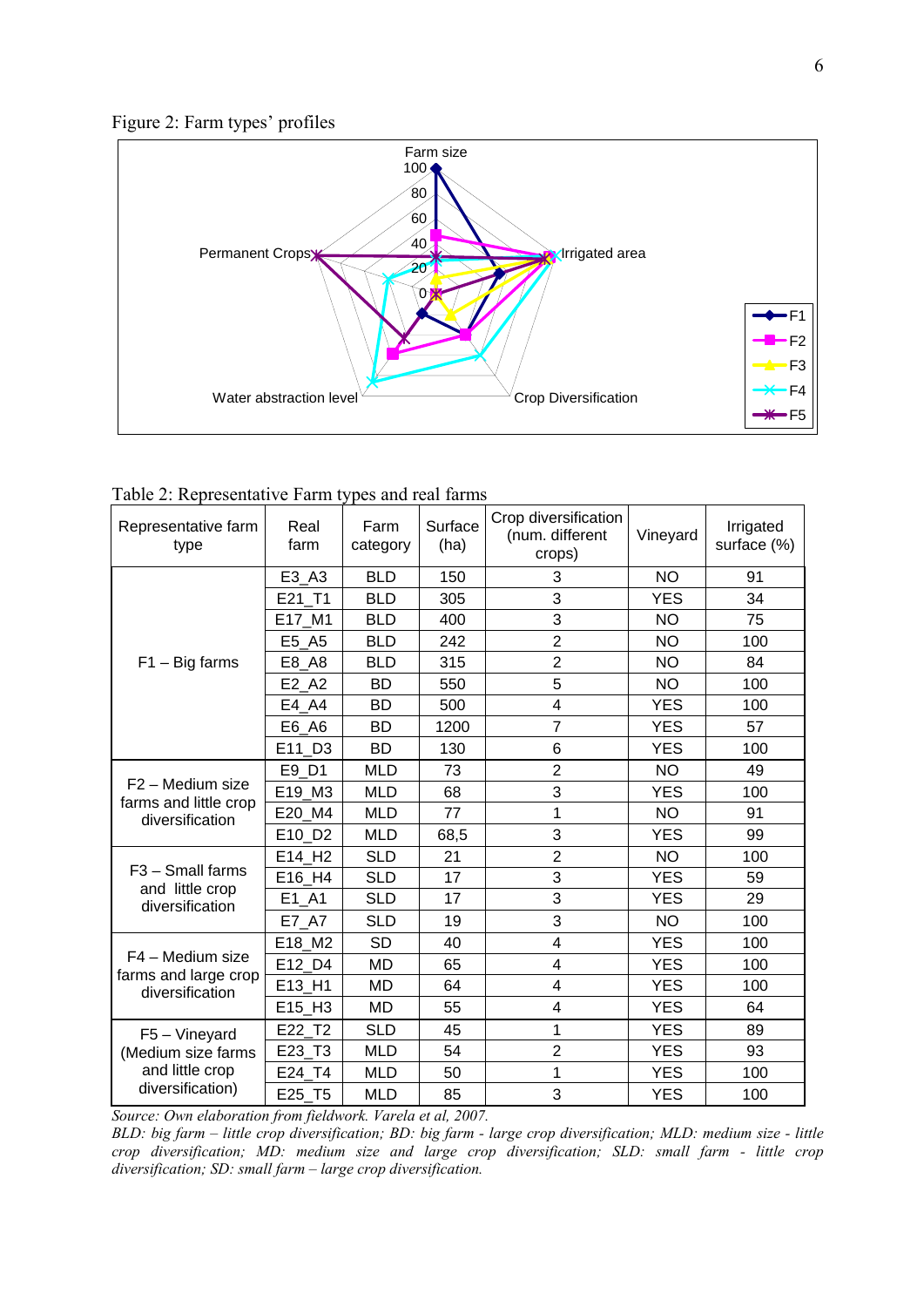

| Table 2: Representative Farm types and real farms |  |  |  |  |  |
|---------------------------------------------------|--|--|--|--|--|
|---------------------------------------------------|--|--|--|--|--|

| Representative farm<br>type                           | Real<br>farm       | Farm<br>category | Surface<br>(ha) | Crop diversification<br>(num. different<br>crops) | Vineyard   | Irrigated<br>surface (%) |
|-------------------------------------------------------|--------------------|------------------|-----------------|---------------------------------------------------|------------|--------------------------|
|                                                       | E3 A3              | <b>BLD</b>       | 150             | 3                                                 | <b>NO</b>  | 91                       |
|                                                       | E21 T1             | <b>BLD</b>       | 305             | 3                                                 | <b>YES</b> | 34                       |
|                                                       | E17_M1             | <b>BLD</b>       | 400             | 3                                                 | <b>NO</b>  | 75                       |
|                                                       | E5_A5              | <b>BLD</b>       | 242             | $\overline{2}$                                    | <b>NO</b>  | 100                      |
| $F1 - Big$ farms                                      | E8 A8              | <b>BLD</b>       | 315             | $\overline{2}$                                    | <b>NO</b>  | 84                       |
|                                                       | E2 A2              | <b>BD</b>        | 550             | 5                                                 | <b>NO</b>  | 100                      |
|                                                       | E4 A4              | <b>BD</b>        | 500             | 4                                                 | <b>YES</b> | 100                      |
|                                                       | E6 A6              | <b>BD</b>        | 1200            | $\overline{7}$                                    | <b>YES</b> | 57                       |
|                                                       | E11 D3             | <b>BD</b>        | 130             | 6                                                 | <b>YES</b> | 100                      |
|                                                       | E9 D1              | <b>MLD</b>       | 73              | $\overline{2}$                                    | <b>NO</b>  | 49                       |
| F <sub>2</sub> – Medium size<br>farms and little crop | E19_M3             | <b>MLD</b>       | 68              | 3                                                 | <b>YES</b> | 100                      |
| diversification                                       | E20_M4             | <b>MLD</b>       | 77              | 1                                                 | <b>NO</b>  | 91                       |
|                                                       | E10 D2             | <b>MLD</b>       | 68,5            | 3                                                 | <b>YES</b> | 99                       |
|                                                       | E14 H <sub>2</sub> | <b>SLD</b>       | 21              | $\overline{2}$                                    | <b>NO</b>  | 100                      |
| $F3 - S$ mall farms<br>and little crop                | E16_H4             | <b>SLD</b>       | 17              | 3                                                 | <b>YES</b> | 59                       |
| diversification                                       | E1 A1              | <b>SLD</b>       | 17              | 3                                                 | <b>YES</b> | 29                       |
|                                                       | E7 A7              | <b>SLD</b>       | 19              | 3                                                 | <b>NO</b>  | 100                      |
|                                                       | E18 M2             | <b>SD</b>        | 40              | 4                                                 | <b>YES</b> | 100                      |
| F4 - Medium size<br>farms and large crop              | E12 D4             | <b>MD</b>        | 65              | 4                                                 | <b>YES</b> | 100                      |
| diversification                                       | E13_H1             | <b>MD</b>        | 64              | 4                                                 | <b>YES</b> | 100                      |
|                                                       | E15_H3             | MD               | 55              | 4                                                 | <b>YES</b> | 64                       |
| $F5 - V$ ineyard                                      | E22 T2             | <b>SLD</b>       | 45              | 1                                                 | <b>YES</b> | 89                       |
| (Medium size farms                                    | E23 T3             | <b>MLD</b>       | 54              | $\overline{2}$                                    | <b>YES</b> | 93                       |
| and little crop                                       | E24 T4             | <b>MLD</b>       | 50              | 1                                                 | <b>YES</b> | 100                      |
| diversification)                                      | E25_T5             | <b>MLD</b>       | 85              | 3                                                 | <b>YES</b> | 100                      |

*Source: Own elaboration from fieldwork. Varela et al, 2007.* 

*rge crop diversification; MLD: medium size - little BLD: big farm – little crop diversification; BD: big farm - la* crop diversification; MD: medium size and large crop diversification; SLD: small farm - little crop *diversification; SD: small farm – large crop diversification.*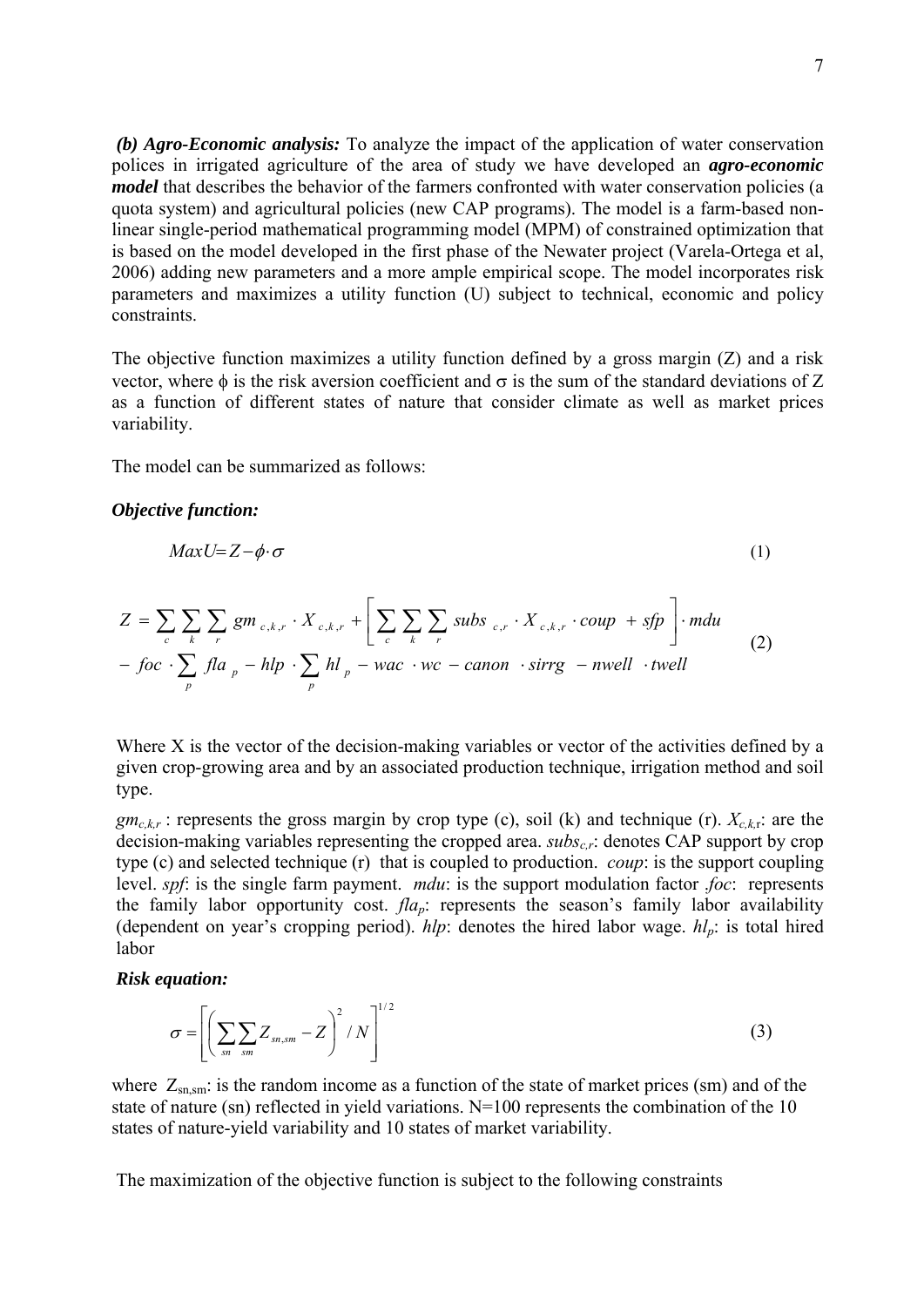*(b) Agro-Economic analysis:* To analyze the impact of the application of water conservation polices in irrigated agriculture of the area of study we have developed an *agro-economic model* that describes the behavior of the farmers confronted with water conservation policies (a quota system) and agricultural policies (new CAP programs). The model is a farm-based nonlinear single-period mathematical programming model (MPM) of constrained optimization that is based on the model developed in the first phase of the Newater project (Varela-Ortega et al, 2006) adding new parameters and a more ample empirical scope. The model incorporates risk parameters and maximizes a utility function (U) subject to technical, economic and policy constraints.

vector, where  $\phi$  is the risk aversion coefficient and  $\sigma$  is the sum of the standard deviations of Z The objective function maximizes a utility function defined by a gross margin (Z) and a risk as a function of different states of nature that consider climate as well as market prices variability.

The model can be summarized as follows:

## *Objective function:*

$$
MaxU = Z - \phi \cdot \sigma \tag{1}
$$

$$
Z = \sum_{c} \sum_{k} \sum_{r} gm_{c,k,r} \cdot X_{c,k,r} + \left[ \sum_{c} \sum_{k} \sum_{r} subs_{c,r} \cdot X_{c,k,r} \cdot coup + sfp \right] \cdot mdu
$$
  
- *foc*  $\cdot \sum_{p} fla_{p} - hlp \cdot \sum_{p} hl_{p} - wac \cdot wc - canon \cdot sirrg - nwell \cdot twell$  (2)

Where X is the vector of the decision-making variables or vector of the activities defined by a given crop-growing area and by an associated production technique, irrigation method and soil type.

decision-making variables representing the cropped area. *subs<sub>c,r</sub>*: denotes CAP support by crop  $gm_{c,kr}$ : represents the gross margin by crop type (c), soil (k) and technique (r).  $X_{c,kr}$ : are the type (c) and selected technique (r) that is coupled to production. *coup*: is the support coupling level. *spf*: is the single farm payment. *mdu*: is the support modulation factor .*foc*: represents the family labor opportunity cost.  $f/a_p$ : represents the season's family labor availability (dependent on year's cropping period).  $hlp$ : denotes the hired labor wage.  $hl_p$ : is total hired labor

#### *Risk equation:*

$$
\sigma = \left[ \left( \sum_{sn} \sum_{sm,sm} Z_{sn,sm} - Z \right)^2 / N \right]^{1/2} \tag{3}
$$

where  $Z_{sn,sm}$ : is the random income as a function of the state of market prices (sm) and of the state of nature (sn) reflected in yield variations. N=100 represents the combination of the 10 states of nature-yield variability and 10 states of market variability.

The maximization of the objective function is subject to the following constraints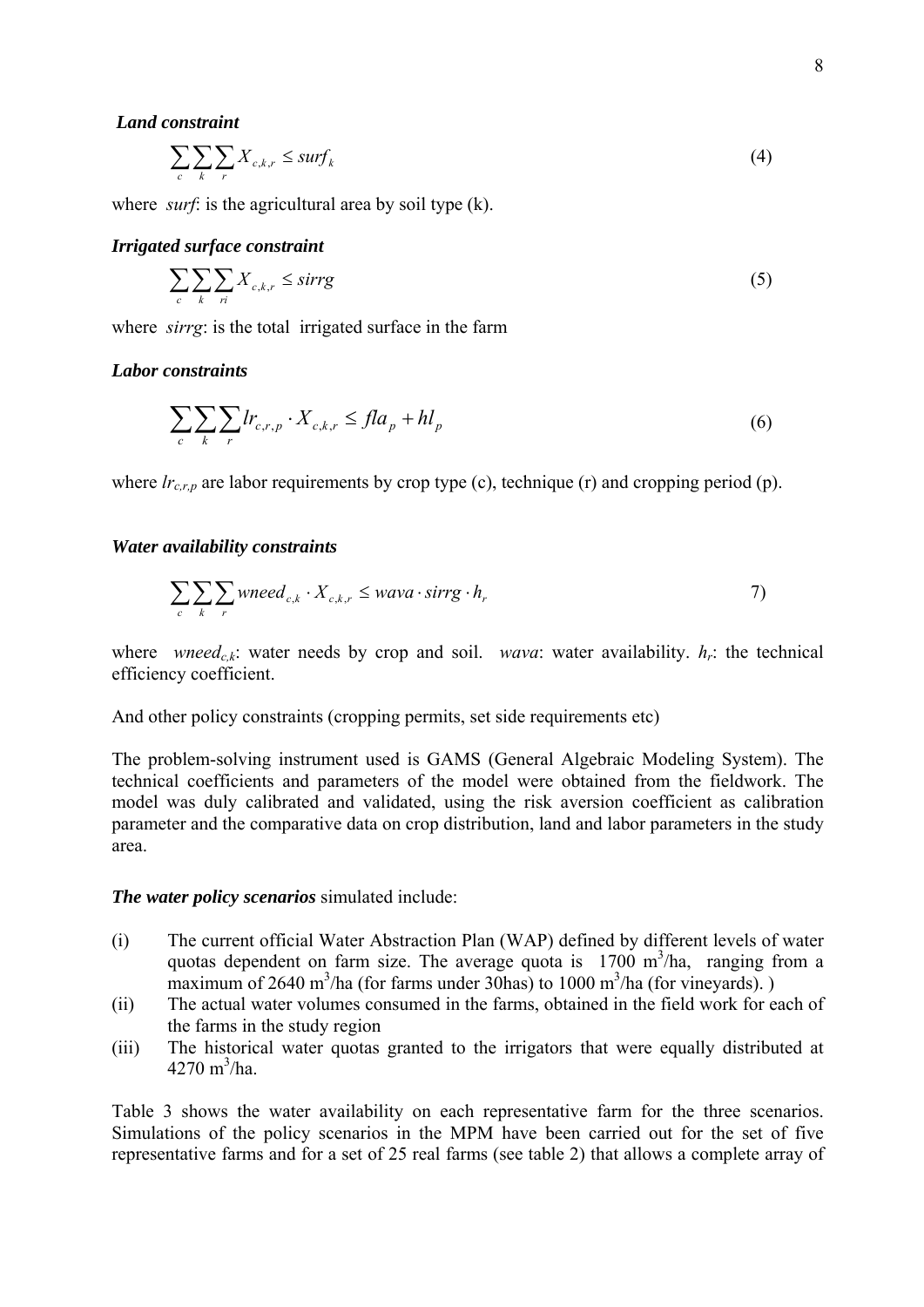#### *Land constraint*

$$
\sum_{c} \sum_{k} \sum_{r} X_{c,k,r} \le \text{surf}_{k} \tag{4}
$$

where *surf*: is the agricultural area by soil type  $(k)$ .

#### *Irrigated surface constraint*

$$
\sum_{c} \sum_{k} \sum_{ri} X_{c,k,r} \leq sirrg
$$
 (5)

where *sirrg*: is the total irrigated surface in the f arm

#### *Labor constraints*

$$
\sum_{c} \sum_{k} \sum_{r} lr_{c,r,p} \cdot X_{c,k,r} \leq fl a_p + h l_p \tag{6}
$$

where  $lr_{c,r,p}$  are labor requirements by crop type (c), technique (r) and cropping period (p).

#### *Water availability constraints*

$$
\sum_{c} \sum_{k} \sum_{r} \text{wneed}_{c,k} \cdot X_{c,k,r} \leq \text{wava} \cdot \text{sirrg} \cdot h_r \tag{7}
$$

where *wneed<sub>c,k</sub>*: water needs by crop and soil. *wava*: water availability.  $h_r$ : the technical efficiency coefficient.

And other policy constraints (cropping permits, set side requirements etc)

The problem-solving instrument used is GAMS (General Algebraic Modeling System). The technical coefficients and parameters of the model were obtained from the fieldwork. The model was duly calibrated and validated, using the risk aversion coefficient as calibration parameter and the comparative data on crop distribution, land and labor parameters in the study area.

#### *The water policy scenarios* simulated include:

- ) The current official Water Abstraction Plan (WAP) defined by different levels of water quotas dependent on farm size. The average quota is  $1700 \text{ m}^3/\text{ha}$ , ranging from a maximum of 2640 m<sup>3</sup>/ha (for farms under 30 has) to 1000 m<sup>3</sup>/ha (for vineyards).) (i
- (ii) The actual water volumes consumed in the farms, obtained in the field work for each of the farms in the study region
- (iii) The historical water quotas granted to the irrigators that were equally distributed at  $4270 \text{ m}^3/\text{ha}.$

Simulations of the policy scenarios in the MPM have been carried out for the set of five representative farms and for a set of 25 real farms (see table 2) that allows a complete array of Table 3 shows the water availability on each representative farm for the three scenarios.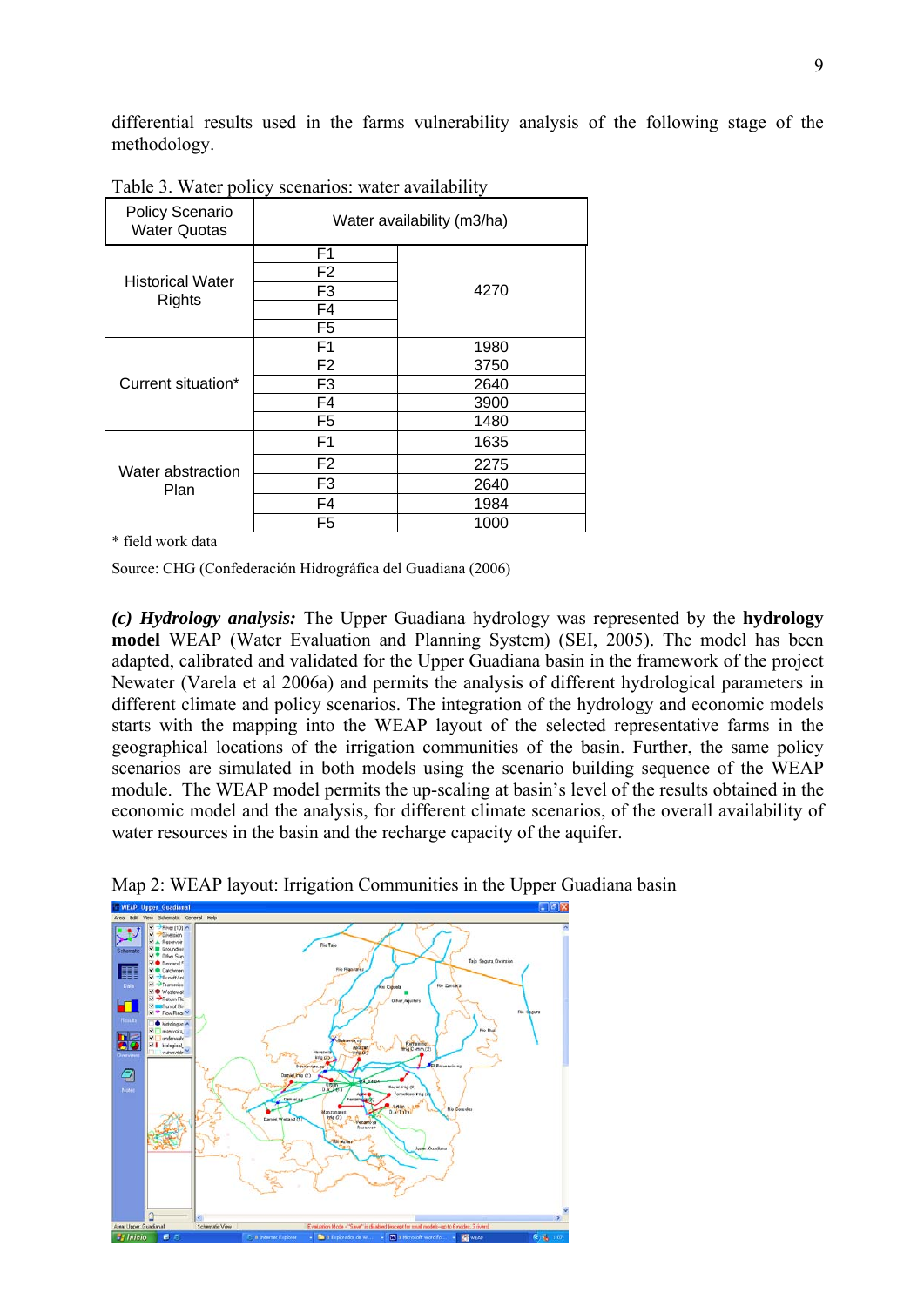differential results used in the farms vulnerability analysis of the following stage of the methodology.

| Policy Scenario<br><b>Water Quotas</b> | Water availability (m3/ha) |      |  |  |
|----------------------------------------|----------------------------|------|--|--|
|                                        | F <sub>1</sub>             |      |  |  |
| <b>Historical Water</b>                | F <sub>2</sub>             |      |  |  |
| Rights                                 | F3                         | 4270 |  |  |
|                                        | F <sub>4</sub>             |      |  |  |
|                                        | F <sub>5</sub>             |      |  |  |
|                                        | F <sub>1</sub>             | 1980 |  |  |
|                                        | F <sub>2</sub>             | 3750 |  |  |
| Current situation*                     | F <sub>3</sub>             | 2640 |  |  |
|                                        | F4                         | 3900 |  |  |
|                                        | F <sub>5</sub>             | 1480 |  |  |
|                                        | F <sub>1</sub>             | 1635 |  |  |
| Water abstraction                      | F <sub>2</sub>             | 2275 |  |  |
| Plan                                   | F <sub>3</sub>             | 2640 |  |  |
|                                        | F <sub>4</sub>             | 1984 |  |  |
|                                        | F5                         | 1000 |  |  |

Table 3. Water policy scenarios: water availability

\* field work data

Source: CHG (Confederación Hidrográfica del Guadiana (2006)

**hydrology**  *(c) Hydrology analysis:* The Upper Guadiana hydrology was represented by the model WEAP (Water Evaluation and Planning System) (SEI, 2005). The model has been dapted, calibrated and validated for the Upper Guadiana basin in the framework of the project a Newater (Varela et al 2006a) and permits the analysis of different hydrological parameters in different climate and policy scenarios. The integration of the hydrology and economic models starts with the mapping into the WEAP layout of the selected representative farms in the geographical locations of the irrigation communities of the basin. Further, the same policy scenarios are simulated in both models using the scenario building sequence of the WEAP module. The WEAP model permits the up-scaling at basin's level of the results obtained in the economic model and the analysis, for different climate scenarios, of the overall availability of water resources in the basin and the recharge capacity of the aquifer.



Map 2: WEAP layout: Irrigation Communities in the Upper Guadiana basin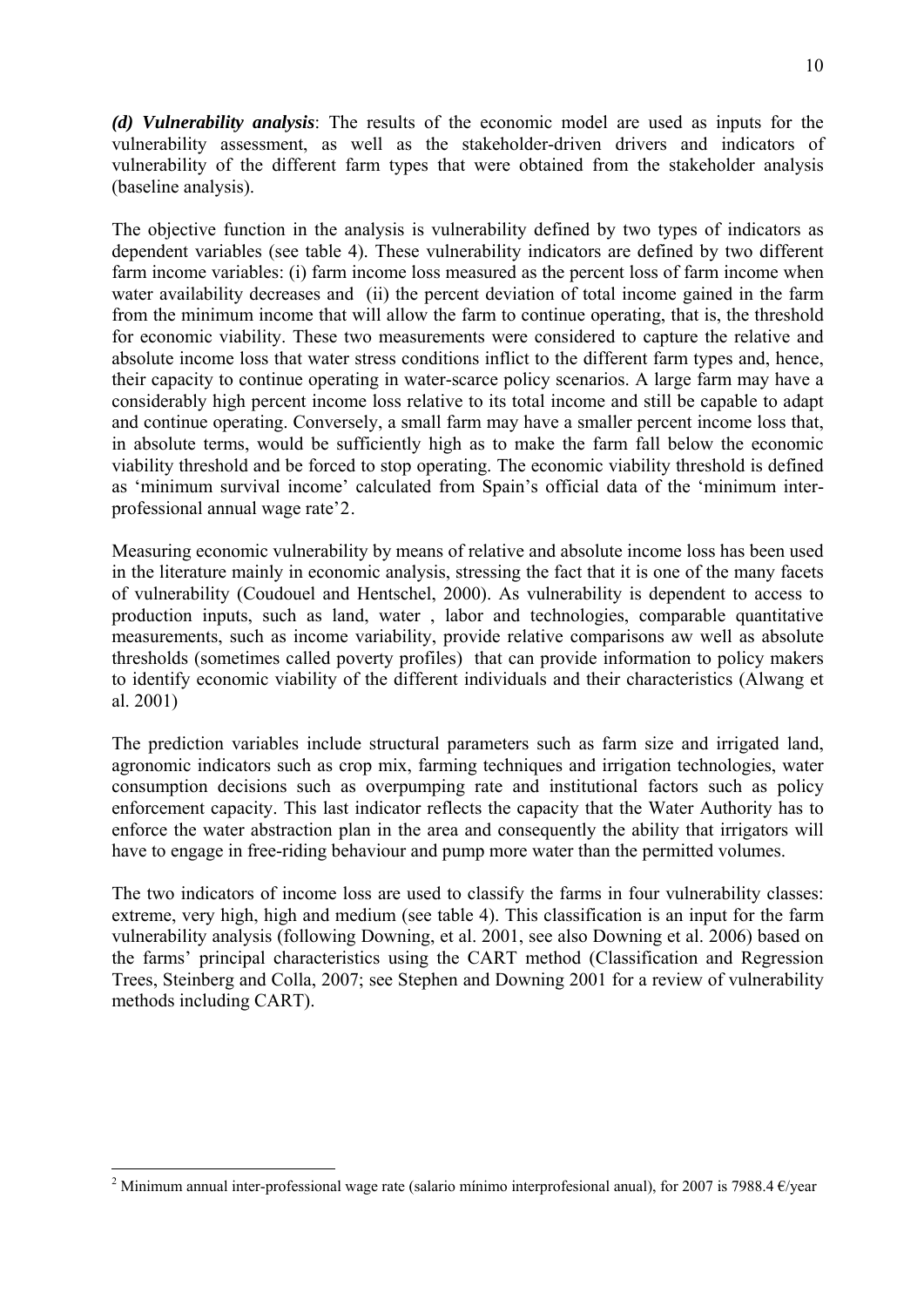<span id="page-9-0"></span>*(d) Vulnerability analysis*: The results of the economic model are used as inputs for the vulnerability assessment, as well as the stakeholder-driven drivers and indicators of vulnerability of the different farm types that were obtained from the stakeholder analysis (baseline analysis).

dependent variables (see table 4). These vulnerability indicators are defined by two different farm income variables: (i) farm income loss measured as the percent loss of farm income when The objective function in the analysis is vulnerability defined by two types of indicators as water availability decreases and (ii) the percent deviation of total income gained in the farm from the minimum income that will allow the farm to continue operating, that is, the threshold for economic viability. These two measurements were considered to capture the relative and absolute income loss that water stress conditions inflict to the different farm types and, hence, their capacity to continue operating in water-scarce policy scenarios. A large farm may have a considerably high percent income loss relative to its total income and still be capable to adapt and continue operating. Conversely, a small farm may have a smaller percent income loss that, in absolute terms, would be sufficiently high as to make the farm fall below the economic viability threshold and be forced to stop operating. The economic viability threshold is defined as 'minimum survival income' calculated from Spain's official data of the 'minimum interprofessional annual wage rate'[2](#page-9-0).

in the literature mainly in economic analysis, stressing the fact that it is one of the many facets of vulnerability (Coudouel and Hentschel, 2000). As vulnerability is dependent to access to Measuring economic vulnerability by means of relative and absolute income loss has been used production inputs, such as land, water , labor and technologies, comparable quantitative measurements, such as income variability, provide relative comparisons aw well as absolute thresholds (sometimes called poverty profiles) that can provide information to policy makers to identify economic viability of the different individuals and their characteristics (Alwang et al. 2001)

agronomic indicators such as crop mix, farming techniques and irrigation technologies, water consumption decisions such as overpumping rate and institutional factors such as policy The prediction variables include structural parameters such as farm size and irrigated land, enforcement capacity. This last indicator reflects the capacity that the Water Authority has to enforce the water abstraction plan in the area and consequently the ability that irrigators will have to engage in free-riding behaviour and pump more water than the permitted volumes.

extreme, very high, high and medium (see table 4). This classification is an input for the farm vulnerability analysis (following Downing, et al. 2001, see also Downing et al. 2006) based on The two indicators of income loss are used to classify the farms in four vulnerability classes: the farms' principal characteristics using the CART method (Classification and Regression Trees, Steinberg and Colla, 2007; see Stephen and Downing 2001 for a review of vulnerability methods including CART).

<u>.</u>

<sup>&</sup>lt;sup>2</sup> Minimum annual inter-professional wage rate (salario mínimo interprofesional anual), for 2007 is 7988.4  $\epsilon$ /year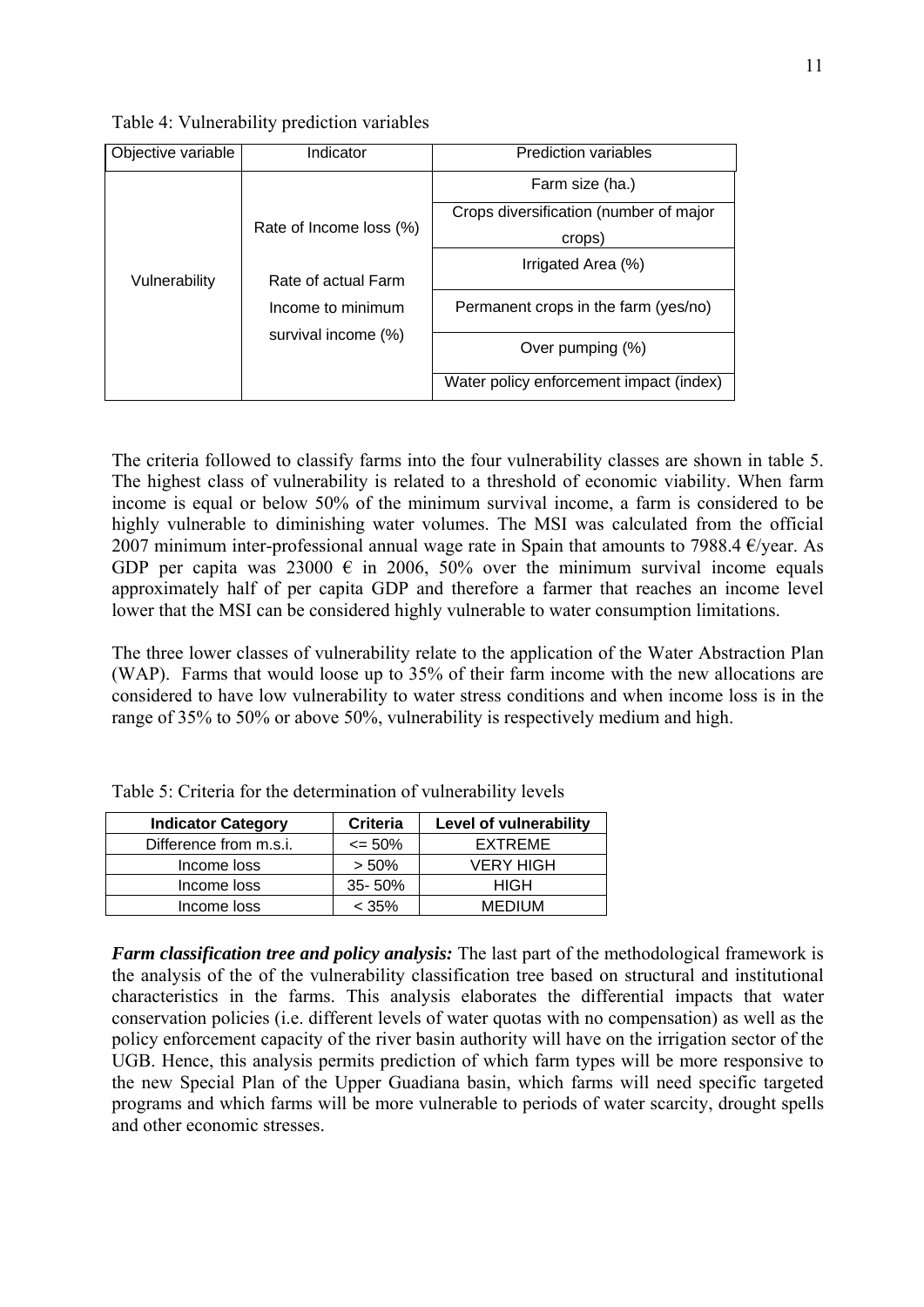Table 4: Vulnerability prediction variables

| Objective variable | Indicator                                | <b>Prediction variables</b>             |  |  |
|--------------------|------------------------------------------|-----------------------------------------|--|--|
|                    |                                          | Farm size (ha.)                         |  |  |
| Vulnerability      | Rate of Income loss (%)                  | Crops diversification (number of major  |  |  |
|                    |                                          | crops)                                  |  |  |
|                    | Rate of actual Farm<br>Income to minimum | Irrigated Area (%)                      |  |  |
|                    |                                          |                                         |  |  |
|                    |                                          | Permanent crops in the farm (yes/no)    |  |  |
|                    | survival income (%)                      |                                         |  |  |
|                    |                                          | Over pumping (%)                        |  |  |
|                    |                                          | Water policy enforcement impact (index) |  |  |

The criteria followed to classify farms into the four vulnerability classes are shown in table 5. The highest class of vulnerability is related to a threshold of economic viability. When farm income is equal or below 50% of the minimum survival income, a farm is considered to be highly vulnerable to diminishing water volumes. The MSI was calculated from the official 2007 minimum inter-professional annual wage rate in Spain that amounts to 7988.4  $\epsilon$ /year. As GDP per capita was 23000  $\epsilon$  in 2006, 50% over the minimum survival income equals approximately half of per capita GDP and therefore a farmer that reaches an income level lower that the MSI can be considered highly vulnerable to water consumption limitations.

(WAP). Farms that would loose up to  $35%$  of their farm income with the new allocations are considered to have low vulnerability to water stress conditions and when income loss is in the The three lower classes of vulnerability relate to the application of the Water Abstraction Plan range of 35% to 50% or above 50%, vulnerability is respectively medium and high.

| <b>Indicator Category</b> | <b>Criteria</b>  | Level of vulnerability |
|---------------------------|------------------|------------------------|
| Difference from m.s.i.    | $\epsilon$ = 50% | EXTREME                |
| Income loss               | $> 50\%$         | <b>VERY HIGH</b>       |
| Income loss               | $35 - 50\%$      | <b>HIGH</b>            |
| Income loss               | $<$ 35%          | <b>MEDIUM</b>          |

| Table 5: Criteria for the determination of vulnerability levels |  |  |  |  |  |  |  |
|-----------------------------------------------------------------|--|--|--|--|--|--|--|
|-----------------------------------------------------------------|--|--|--|--|--|--|--|

*Farm classification tree and policy analysis:* The last part of the methodological framework is the analysis of the of the vulnerability classification tree based on structural and institutional haracteristics in the farms. This analysis elaborates the differential impacts that water c conservation policies (i.e. different levels of water quotas with no compensation) as well as the policy enforcement capacity of the river basin authority will have on the irrigation sector of the UGB. Hence, this analysis permits prediction of which farm types will be more responsive to the new Special Plan of the Upper Guadiana basin, which farms will need specific targeted programs and which farms will be more vulnerable to periods of water scarcity, drought spells and other economic stresses.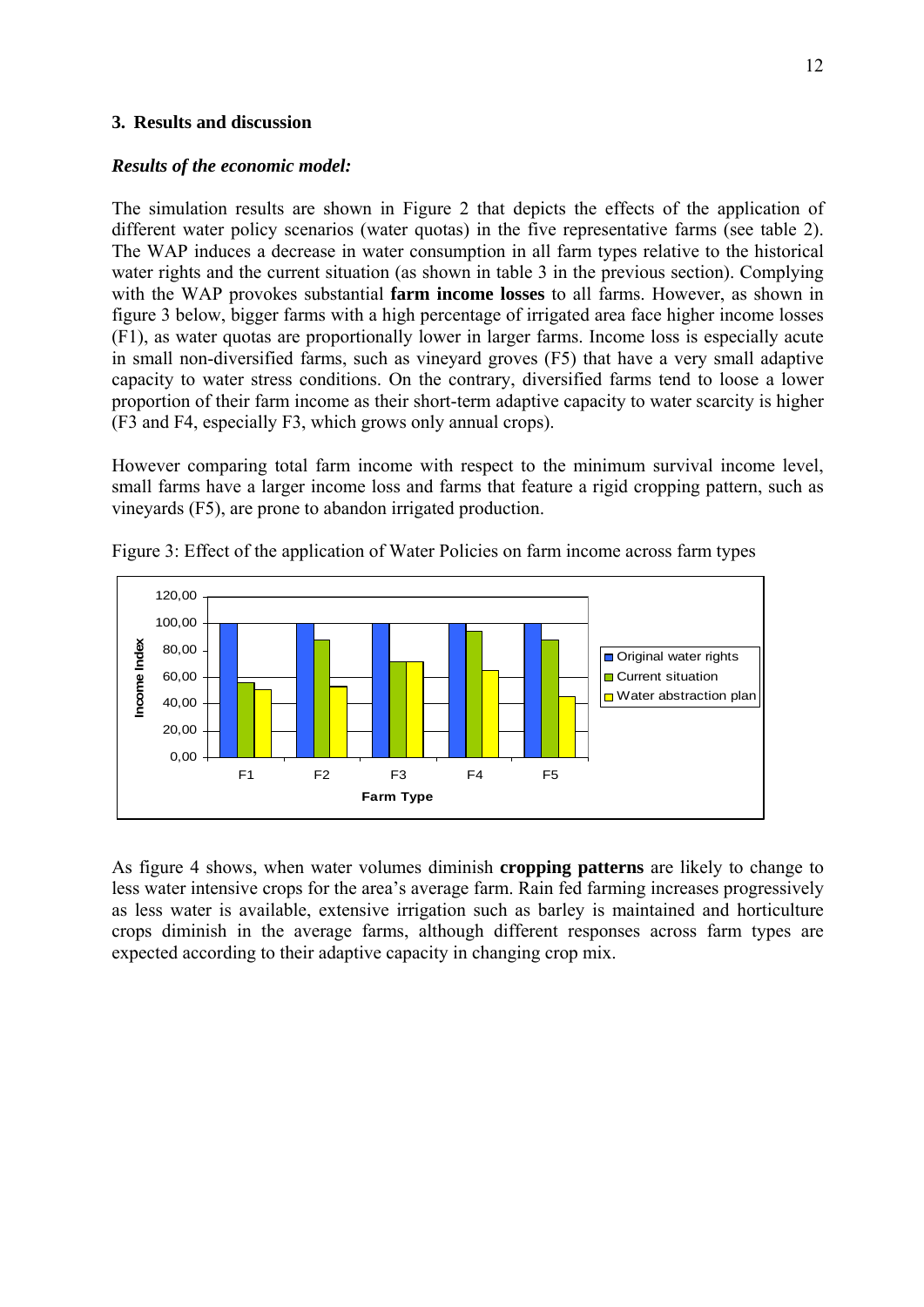## **3. Results and discussion**

## *Results of the economic model:*

The simulation results are shown in Figure 2 that depicts the effects of the application of different water policy scenarios (water quotas) in the five representative farms (see table 2). The WAP induces a decrease in water consumption in all farm types relative to the historical water rights and the current situation (as shown in table 3 in the previous section). Complying with the WAP provokes substantial **farm income losses** to all farms. However, as shown in figure 3 below, bigger farms with a high percentage of irrigated area face higher income losses (F1), as water quotas are proportionally lower in larger farms. Income loss is especially acute in small non-diversified farms, such as vineyard groves (F5) that have a very small adaptive capacity to water stress conditions. On the contrary, diversified farms tend to loose a lower proportion of their farm income as their short-term adaptive capacity to water scarcity is higher (F3 and F4, especially F3, which grows only annual crops).

However comparing total farm income with respect to the minimum survival income level, small farms have a larger income loss and farms that feature a rigid cropping pattern, such as vineyards (F5), are prone to abandon irrigated production.



Figure 3: Effect of the application of Water Policies on farm income across farm types

As figure 4 shows, when water volumes diminish **cropping patterns** are likely to change to less water intensive crops for the area's average farm. Rain fed farming increases progressively as less water is available, extensive irrigation such as barley is maintained and horticulture crops diminish in the average farms, although different responses across farm types are expected according to their adaptive capacity in changing crop mix.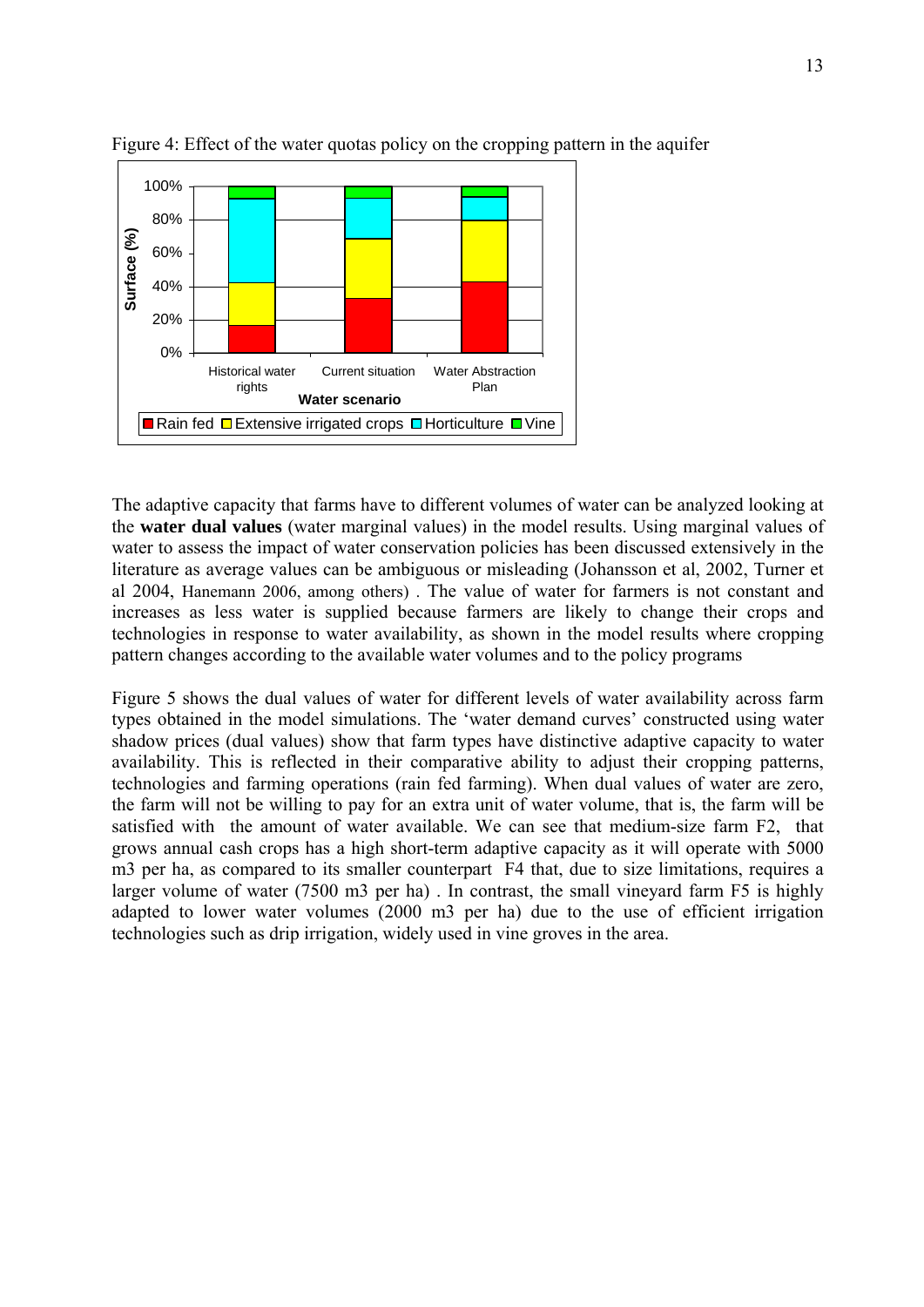

Figure 4: Effect of the water quotas policy on the cropping pattern in the aquifer

The adaptive capacity that farms have to different volumes of water can be analyzed looking at the water dual values (water marginal values) in the model results. Using marginal values of water to assess the impact of water conservation policies has been discussed extensively in the literature as average values can be ambiguous or misleading (Johansson et al, 2002, Turner et al 2004, Hanemann 2006, among others). The value of water for farmers is not constant and increases as less water is supplied because farmers are likely to change their crops and technologies in response to water availability, as shown in the model results where cropping pattern changes according to the available water volumes and to the policy programs

availability. This is reflected in their comparative ability to adjust their cropping patterns, technologies and farming operations (rain fed farming). When dual values of water are zero, Figure 5 shows the dual values of water for different levels of water availability across farm types obtained in the model simulations. The 'water demand curves' constructed using water shadow prices (dual values) show that farm types have distinctive adaptive capacity to water the farm will not be willing to pay for an extra unit of water volume, that is, the farm will be satisfied with the amount of water available. We can see that medium-size farm F2, that grows annual cash crops has a high short-term adaptive capacity as it will operate with 5000 m3 per ha, as compared to its smaller counterpart F4 that, due to size limitations, requires a larger volume of water (7500 m3 per ha) . In contrast, the small vineyard farm F5 is highly adapted to lower water volumes (2000 m3 per ha) due to the use of efficient irrigation technologies such as drip irrigation, widely used in vine groves in the area.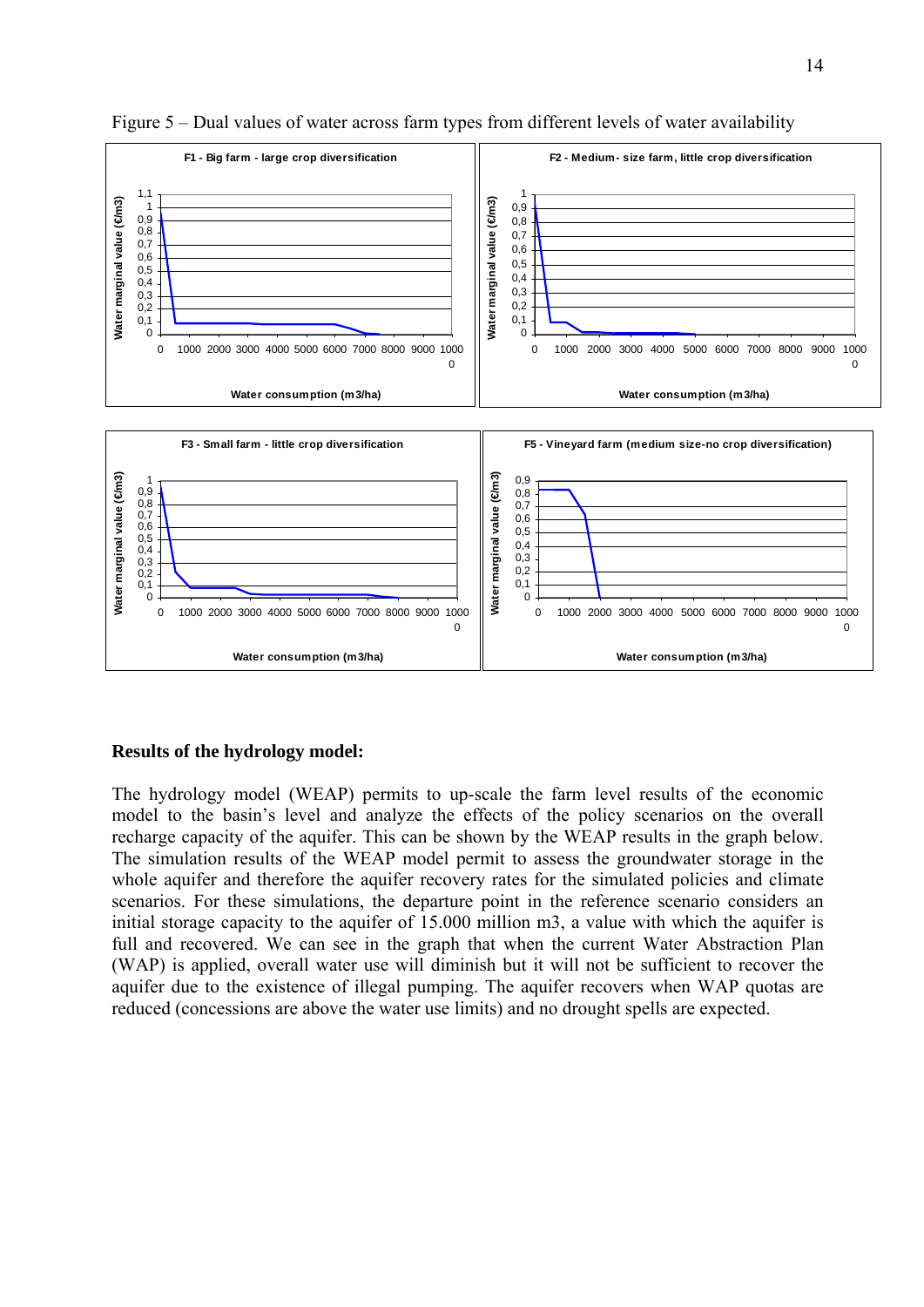



## **Results of the hydrology model:**

The hydrology model (WEAP) permits to up-scale the farm level results of the economic model to the basin's level and analyze the effects of the policy scenarios on the overall recharge capacity of the aquifer. This can be shown by the WEAP results in the graph below. The simulation results of the WEAP model permit to assess the groundwater storage in the whole aquifer and therefore the aquifer recovery rates for the simulated policies and climate scenarios. For these simulations, the departure point in the reference scenario considers an initial storage capacity to the aquifer of 15.000 million m3, a value with which the aquifer is full and recovered. We can see in the graph that when the current Water Abstraction Plan (WAP) is applied, overall water use will diminish but it will not be sufficient to recover the aquifer due to the existence of illegal pumping. The aquifer recovers when WAP quotas are reduced (concessions are above the water use limits) and no drought spells are expected.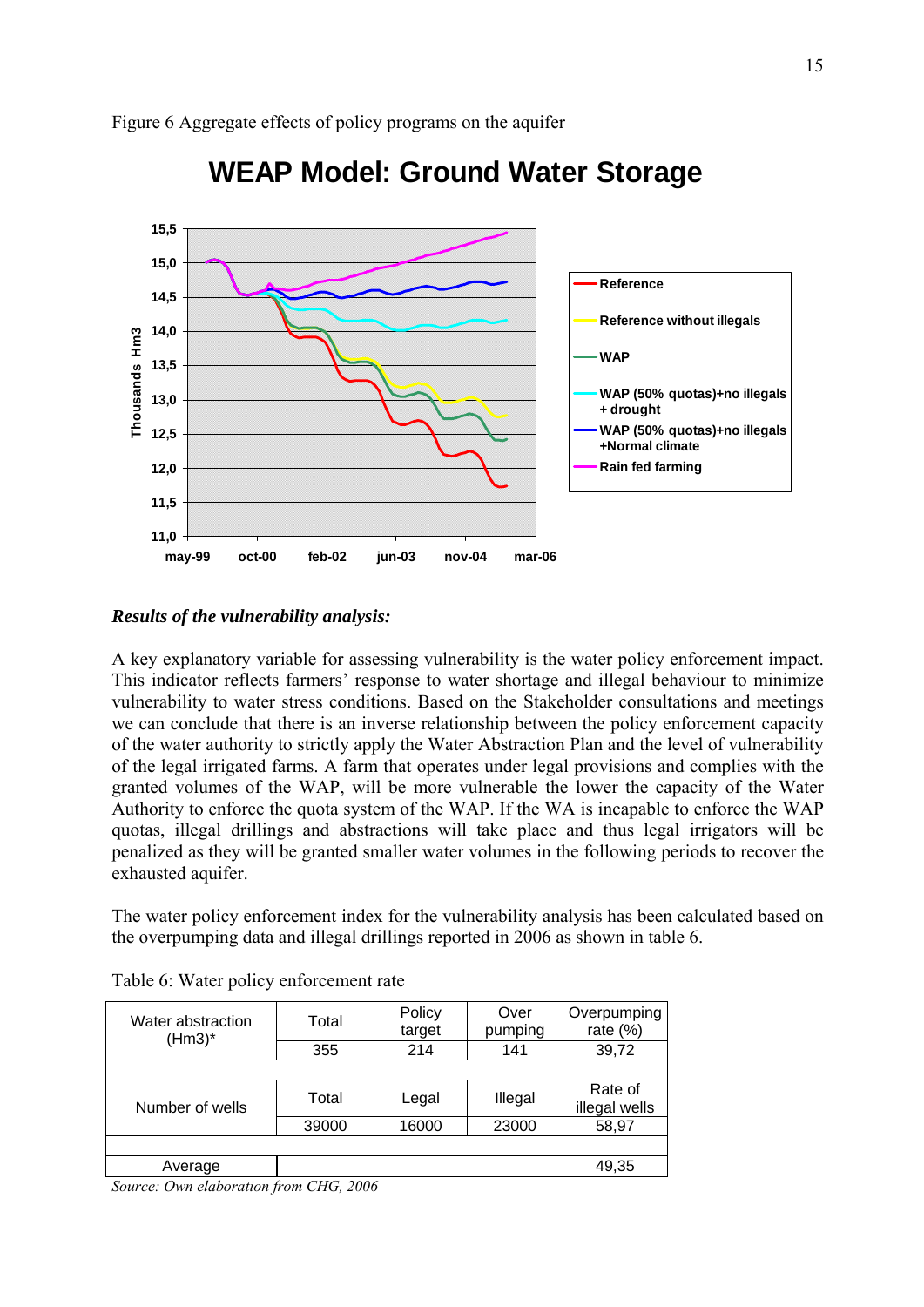

# **WEAP Model: Ground Water Storage**

## Results of the vulnerability analysis:

A key explanatory variable for assessing vulnerability is the water policy enforcement impact. This indicator reflects farmers' response to water shortage and illegal behaviour to minimize vulnerability to water stress conditions. Based on the Stakeholder consultations and meetings we can conclude that there is an inverse relationship between the policy enforcement capacity of the water authority to strictly apply the Water Abstraction Plan and the level of vulnerability of the legal irrigated farms. A farm that operates under legal provisions and complies with the granted volumes of the WAP, will be more vulnerable the lower the capacity of the Water Authority to enforce the quota system of the WAP. If the WA is incapable to enforce the WAP quotas, illegal drillings and abstractions will take place and thus legal irrigators will be penalized as they will be granted smaller water volumes in the following periods to recover the exhausted aquifer.

The water policy enforcement index for the vulnerability analysis has been calculated based on the overpumping data and illegal drillings reported in 2006 as shown in table 6.

| Water abstraction<br>$(Hm3)^*$                                 | Total                                            | Policy<br>target | Over<br>pumping | Overpumping<br>rate $(%)$ |
|----------------------------------------------------------------|--------------------------------------------------|------------------|-----------------|---------------------------|
|                                                                | 355                                              | 214              | 141             | 39,72                     |
|                                                                |                                                  |                  |                 |                           |
| Number of wells                                                | Total                                            | Legal            | Illegal         | Rate of<br>illegal wells  |
|                                                                | 39000                                            | 16000            | 23000           | 58,97                     |
|                                                                |                                                  |                  |                 |                           |
| Average                                                        |                                                  |                  |                 | 49,35                     |
| $\sim$ $\sim$ $\sim$<br>$\tilde{\phantom{a}}$<br>$\sim$ $\sim$ | $\sqrt{2}$<br>$\sim$ $\sim$ $\sim$ $\sim$ $\sim$ |                  |                 |                           |

|  |  | Table 6: Water policy enforcement rate |
|--|--|----------------------------------------|
|--|--|----------------------------------------|

*Source: Own elaboration from CHG, 2006*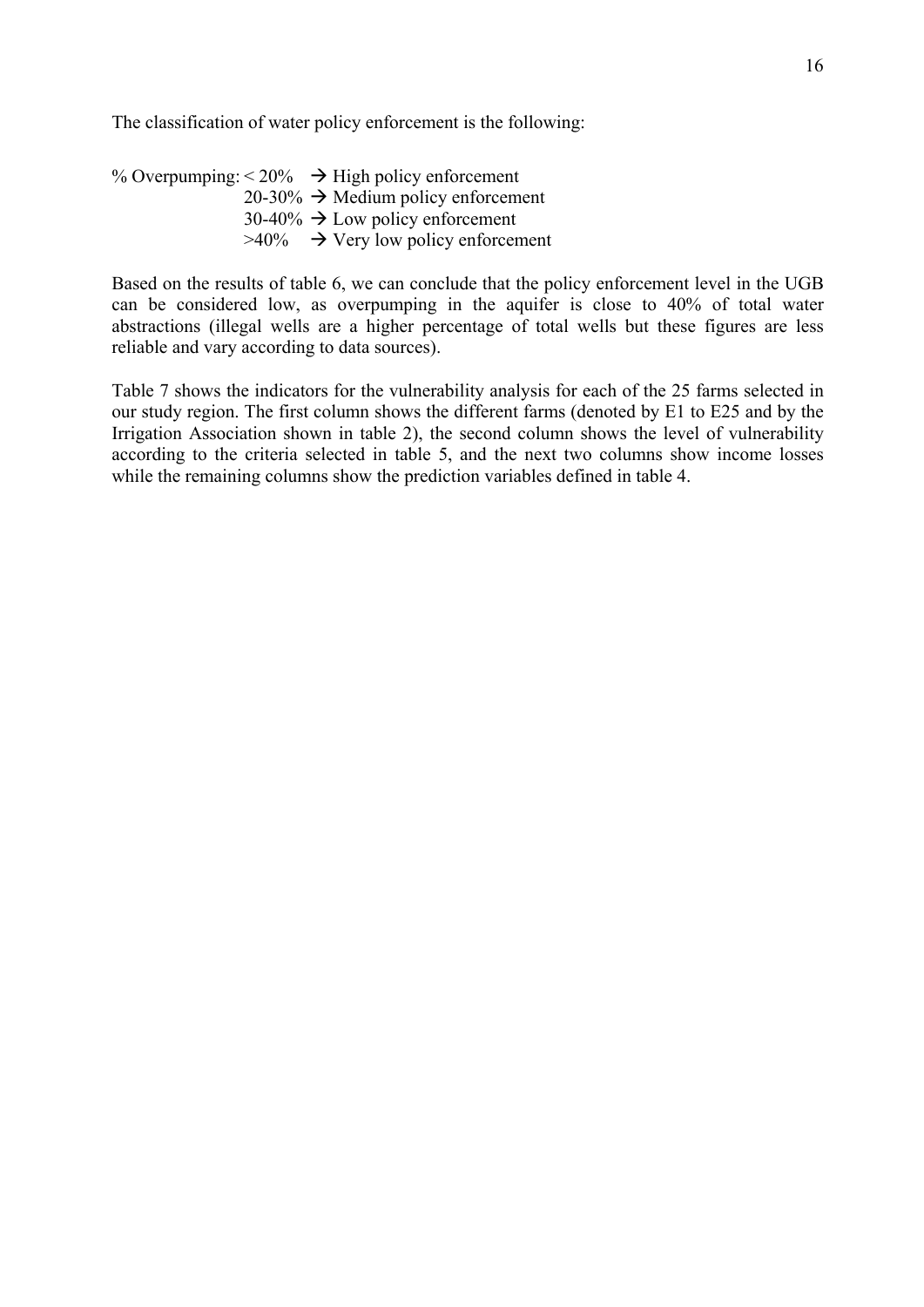The classification of water policy enforcement is the following:

 $20-30\% \rightarrow$  Medium policy enforcement % Overpumping:  $\leq 20\%$   $\rightarrow$  High policy enforcement  $30-40\% \rightarrow$  Low policy enforcement  $>40\%$   $\rightarrow$  Very low policy enforcement

Based on the results of table 6, we can conclude that the policy enforcement level in the UGB can be considered low, as overpumping in the aquifer is close to 40% of total water abstractions (illegal wells are a higher percentage of total wells but these figures are less reliable and vary according to data sources).

Table 7 shows the indicators for the vulnerability analysis for each of the 25 farms selected in our study region. The first column shows the different farms (denoted by E1 to E25 and by the Irrigation Association shown in table 2), the second column shows the level of vulnerability according to the criteria selected in table 5, and the next two columns show income losses while the remaining columns show the prediction variables defined in table 4.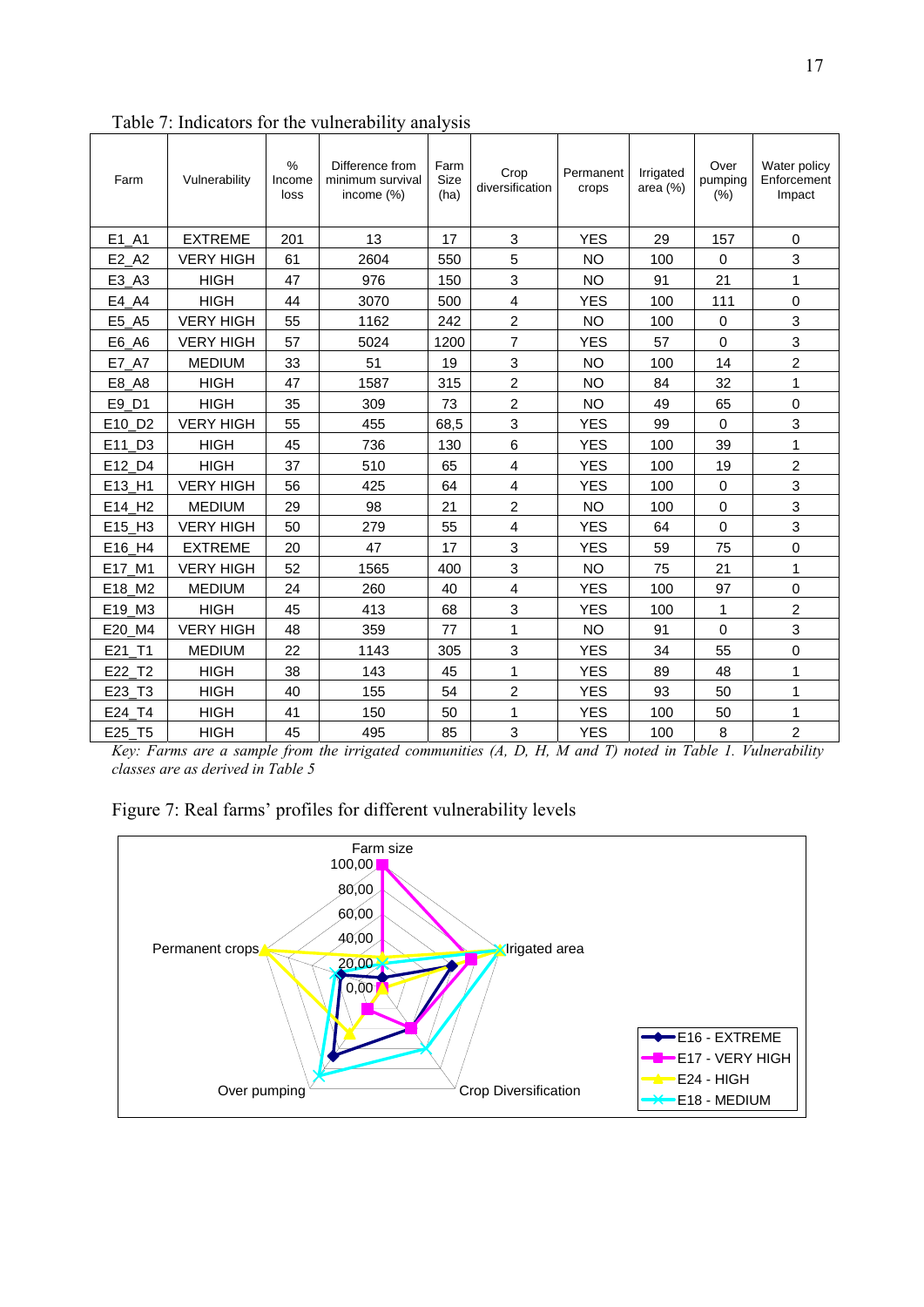| Farm               | Vulnerability    | $\frac{0}{0}$<br>Income<br>loss | Difference from<br>minimum survival<br>income (%) | Farm<br><b>Size</b><br>(ha) | Crop<br>diversification   | Permanent<br>crops | Irrigated<br>area $(%)$ | Over<br>pumping<br>(% ) | Water policy<br>Enforcement<br>Impact |
|--------------------|------------------|---------------------------------|---------------------------------------------------|-----------------------------|---------------------------|--------------------|-------------------------|-------------------------|---------------------------------------|
| $E1$ <sup>A1</sup> | <b>EXTREME</b>   | 201                             | 13                                                | 17                          | 3                         | <b>YES</b>         | 29                      | 157                     | 0                                     |
| E2 A2              | <b>VERY HIGH</b> | 61                              | 2604                                              | 550                         | 5                         | <b>NO</b>          | 100                     | $\mathbf 0$             | 3                                     |
| E3_A3              | <b>HIGH</b>      | 47                              | 976                                               | 150                         | $\ensuremath{\mathsf{3}}$ | <b>NO</b>          | 91                      | 21                      | 1                                     |
| E4_A4              | <b>HIGH</b>      | 44                              | 3070                                              | 500                         | $\overline{\mathbf{4}}$   | <b>YES</b>         | 100                     | 111                     | $\mathbf 0$                           |
| E5_A5              | <b>VERY HIGH</b> | 55                              | 1162                                              | 242                         | $\overline{c}$            | <b>NO</b>          | 100                     | 0                       | $\mathsf 3$                           |
| E6_A6              | <b>VERY HIGH</b> | 57                              | 5024                                              | 1200                        | $\overline{7}$            | <b>YES</b>         | 57                      | 0                       | $\ensuremath{\mathsf{3}}$             |
| E7_A7              | <b>MEDIUM</b>    | 33                              | 51                                                | 19                          | 3                         | <b>NO</b>          | 100                     | 14                      | $\overline{c}$                        |
| E8_A8              | <b>HIGH</b>      | 47                              | 1587                                              | 315                         | $\overline{c}$            | <b>NO</b>          | 84                      | 32                      | $\mathbf{1}$                          |
| E9_D1              | <b>HIGH</b>      | 35                              | 309                                               | 73                          | $\boldsymbol{2}$          | <b>NO</b>          | 49                      | 65                      | $\mathbf 0$                           |
| E10_D2             | <b>VERY HIGH</b> | 55                              | 455                                               | 68,5                        | 3                         | <b>YES</b>         | 99                      | 0                       | 3                                     |
| E11_D3             | <b>HIGH</b>      | 45                              | 736                                               | 130                         | $\,6$                     | <b>YES</b>         | 100                     | 39                      | $\mathbf 1$                           |
| E12_D4             | <b>HIGH</b>      | 37                              | 510                                               | 65                          | 4                         | <b>YES</b>         | 100                     | 19                      | $\overline{c}$                        |
| E13_H1             | <b>VERY HIGH</b> | 56                              | 425                                               | 64                          | $\overline{\mathbf{4}}$   | <b>YES</b>         | 100                     | $\mathbf 0$             | $\sqrt{3}$                            |
| E14_H2             | <b>MEDIUM</b>    | 29                              | 98                                                | 21                          | $\overline{c}$            | <b>NO</b>          | 100                     | 0                       | 3                                     |
| E15 H3             | <b>VERY HIGH</b> | 50                              | 279                                               | 55                          | $\overline{\mathbf{4}}$   | <b>YES</b>         | 64                      | $\mathbf 0$             | $\mathsf 3$                           |
| E16_H4             | <b>EXTREME</b>   | 20                              | 47                                                | 17                          | $\mathbf{3}$              | <b>YES</b>         | 59                      | 75                      | $\pmb{0}$                             |
| E17_M1             | <b>VERY HIGH</b> | 52                              | 1565                                              | 400                         | $\mathbf{3}$              | <b>NO</b>          | 75                      | 21                      | $\mathbf{1}$                          |
| E18_M2             | <b>MEDIUM</b>    | 24                              | 260                                               | 40                          | 4                         | <b>YES</b>         | 100                     | 97                      | $\mathbf 0$                           |
| E19_M3             | <b>HIGH</b>      | 45                              | 413                                               | 68                          | 3                         | <b>YES</b>         | 100                     | $\mathbf{1}$            | $\overline{c}$                        |
| E20_M4             | <b>VERY HIGH</b> | 48                              | 359                                               | 77                          | 1                         | <b>NO</b>          | 91                      | $\mathbf 0$             | 3                                     |
| E21_T1             | <b>MEDIUM</b>    | 22                              | 1143                                              | 305                         | 3                         | <b>YES</b>         | 34                      | 55                      | $\mathbf 0$                           |
| E22 T2             | <b>HIGH</b>      | 38                              | 143                                               | 45                          | 1                         | <b>YES</b>         | 89                      | 48                      | $\mathbf 1$                           |
| E23_T3             | <b>HIGH</b>      | 40                              | 155                                               | 54                          | $\overline{c}$            | <b>YES</b>         | 93                      | 50                      | 1                                     |
| E24_T4             | <b>HIGH</b>      | 41                              | 150                                               | 50                          | 1                         | <b>YES</b>         | 100                     | 50                      | 1                                     |
| E25 T5             | <b>HIGH</b>      | 45                              | 495                                               | 85                          | 3                         | <b>YES</b>         | 100                     | 8                       | $\overline{2}$                        |

Table 7: Indicators for the vulnerability analysis

*Key: Farms are a sample from the irrigated communities (A, D, H, M and T) noted in Table 1. Vulnerability classes are as derived in Table 5* 

Figure 7: Real farms' profiles for different vulnerability levels

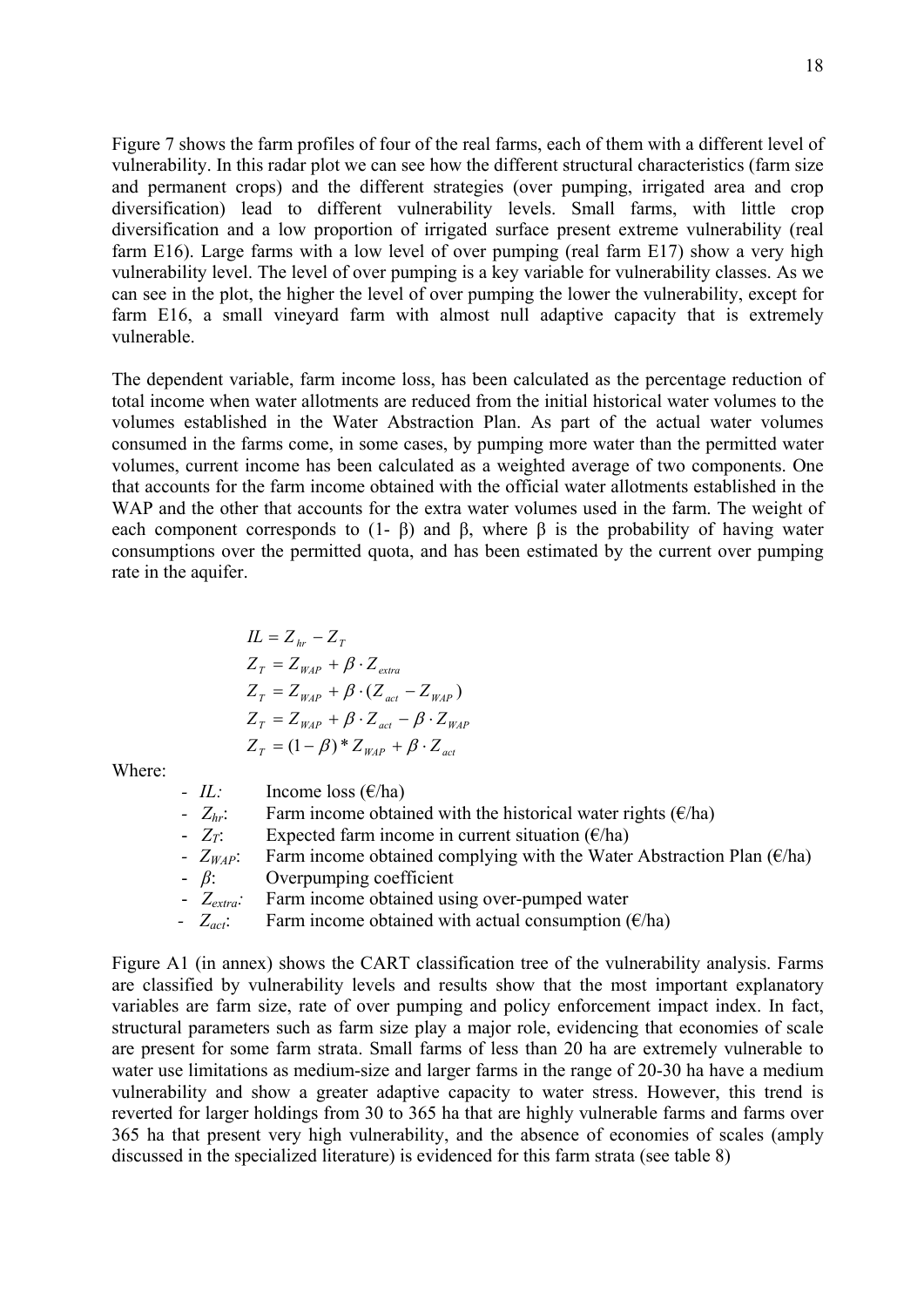Figure 7 shows the farm profiles of four of the real farms, each of them with a different level of vulnerability. In this radar plot we can see how the different structural characteristics (farm size and permanent crops) and the different strategies (over pumping, irrigated area and crop diversification) lead to different vulnerability levels. Small farms, with little crop diversification and a low proportion of irrigated surface present extreme vulnerability (real farm E16). Large farms with a low level of over pumping (real farm E17) show a very high vulnerability level. The level of over pumping is a key variable for vulnerability classes. As we can see in the plot, the higher the level of over pumping the lower the vulnerability, except for farm E16, a small vineyard farm with almost null adaptive capacity that is extremely vulnerable.

total income when water allotments are reduced from the initial historical water volumes to the volumes established in the Water Abstraction Plan. As part of the actual water volumes The dependent variable, farm income loss, has been calculated as the percentage reduction of consumed in the farms come, in some cases, by pumping more water than the permitted water volumes, current income has been calculated as a weighted average of two components. One that accounts for the farm income obtained with the official water allotments established in the WAP and the other that accounts for the extra water volumes used in the farm. The weight of each component corresponds to  $(1-\beta)$  and  $\beta$ , where  $\beta$  is the probability of having water consumptions over the permitted quota, and has been estimated by the current over pumping rate in the aquifer.

$$
IL = Zhr - ZT
$$
  
\n
$$
ZT = ZWAP + \beta \cdot Zextra
$$
  
\n
$$
ZT = ZWAP + \beta \cdot (Zact - ZWAP)
$$
  
\n
$$
ZT = ZWAP + \beta \cdot Zact - \beta \cdot ZWAP
$$
  
\n
$$
ZT = (1 - \beta) * ZWAP + \beta \cdot Zact
$$

Where:

| - IL: | Income loss $(\epsilon$ /ha) |  |
|-------|------------------------------|--|
|       |                              |  |

- $Z_{hr}$ *:* Farm income obtained with the historical water rights ( $\epsilon$ /ha)
- $Z_T$ : Expected farm income in current situation ( $\epsilon$ /ha)
- $Z_{WAP}$ : Farm income obtained complying with the Water Abstraction Plan ( $\epsilon$ /ha)
- *β*: Overpumping coefficient
- Z<sub>extra</sub>: Farm income obtained using over-pumped water
- *-*  $Z_{act}$ : Farm income obtained with actual consumption ( $\epsilon$ /ha)

Figure A1 (in annex) shows the CART classification tree of the vulnerability analysis. Farms are classified by vulnerability levels and results show that the most important explanatory variables are farm size, rate of over pumping and policy enforcement impact index. In fact, structural parameters such as farm size play a major role, evidencing that economies of scale are present for some farm strata. Small farms of less than 20 ha are extremely vulnerable to water use limitations as medium-size and larger farms in the range of 20-30 ha have a medium vulnerability and show a greater adaptive capacity to water stress. However, this trend is reverted for larger holdings from 30 to 365 ha that are highly vulnerable farms and farms over 365 ha that present very high vulnerability, and the absence of economies of scales (amply discussed in the specialized literature) is evidenced for this farm strata (see table 8)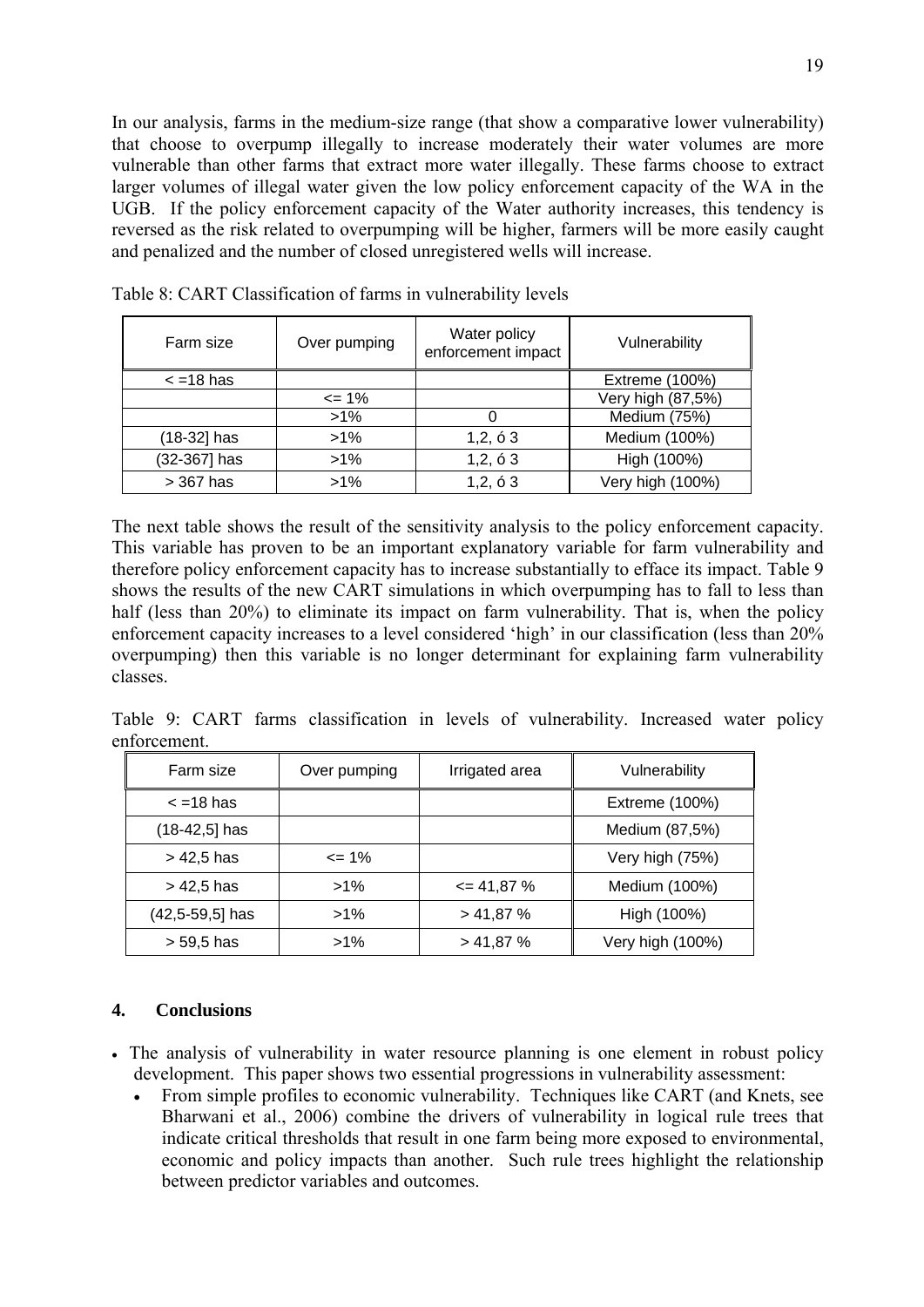In our analysis, farms in the medium-size range (that show a comparative lower vulnerability) that choose to overpump illegally to increase moderately their water volumes are more vulnerable than other farms that extract more water illegally. These farms choose to extract larger volumes of illegal water given the low policy enforcement capacity of the WA in the UGB. If the policy enforcement capacity of the Water authority increases, this tendency is reversed as the risk related to overpumping will be higher, farmers will be more easily caught and penalized and the number of closed unregistered wells will increase.

| Farm size          | Over pumping | Water policy<br>enforcement impact | Vulnerability     |
|--------------------|--------------|------------------------------------|-------------------|
| $\epsilon$ =18 has |              |                                    | Extreme (100%)    |
|                    | $\leq$ 1%    |                                    | Very high (87,5%) |
|                    | $>1\%$       |                                    | Medium (75%)      |
| (18-32] has        | $>1\%$       | 1, 2, 63                           | Medium (100%)     |
| (32-367) has       | $>1\%$       | 1, 2, 63                           | High (100%)       |
| > 367 has          | $>1\%$       | 1, 2, 63                           | Very high (100%)  |

Table 8: CART Classification of farms in vulnerability levels

The next table shows the result of the sensitivity analysis to the policy enforcement capacity. This variable has proven to be an important explanatory variable for farm vulnerability and therefore policy enforcement capacity has to increase substantially to efface its impact. Table 9 shows the results of the new CART simulations in which overpumping has to fall to less than half (less than 20%) to eliminate its impact on farm vulnerability. That is, when the policy enforcement capacity increases to a level considered 'high' in our classification (less than 20% overpumping) then this variable is no longer determinant for explaining farm vulnerability classes.

enforcement. Table 9: CART farms classification in levels of vulnerability. Increased water policy

| Farm size           | Over pumping | Irrigated area | Vulnerability    |
|---------------------|--------------|----------------|------------------|
| $\epsilon$ = 18 has |              |                | Extreme (100%)   |
| $(18-42,5)$ has     |              |                | Medium (87,5%)   |
| > 42,5 has          | $\leq$ 1%    |                | Very high (75%)  |
| > 42,5 has          | $>1\%$       | $= 41,87%$     | Medium (100%)    |
| (42,5-59,5] has     | $>1\%$       | > 41,87%       | High (100%)      |
| > 59,5 has          | $>1\%$       | > 41,87%       | Very high (100%) |

## **4. Conclusions**

- The analysis of vulnerability in water resource planning is one element in robust policy development. This paper shows two essential progressions in vulnerability assessment:
	- From simple profiles to economic vulnerability. Techniques like CART (and Knets, see indicate critical thresholds that result in one farm being more exposed to environmental, Bharwani et al., 2006) combine the drivers of vulnerability in logical rule trees that economic and policy impacts than another. Such rule trees highlight the relationship between predictor variables and outcomes.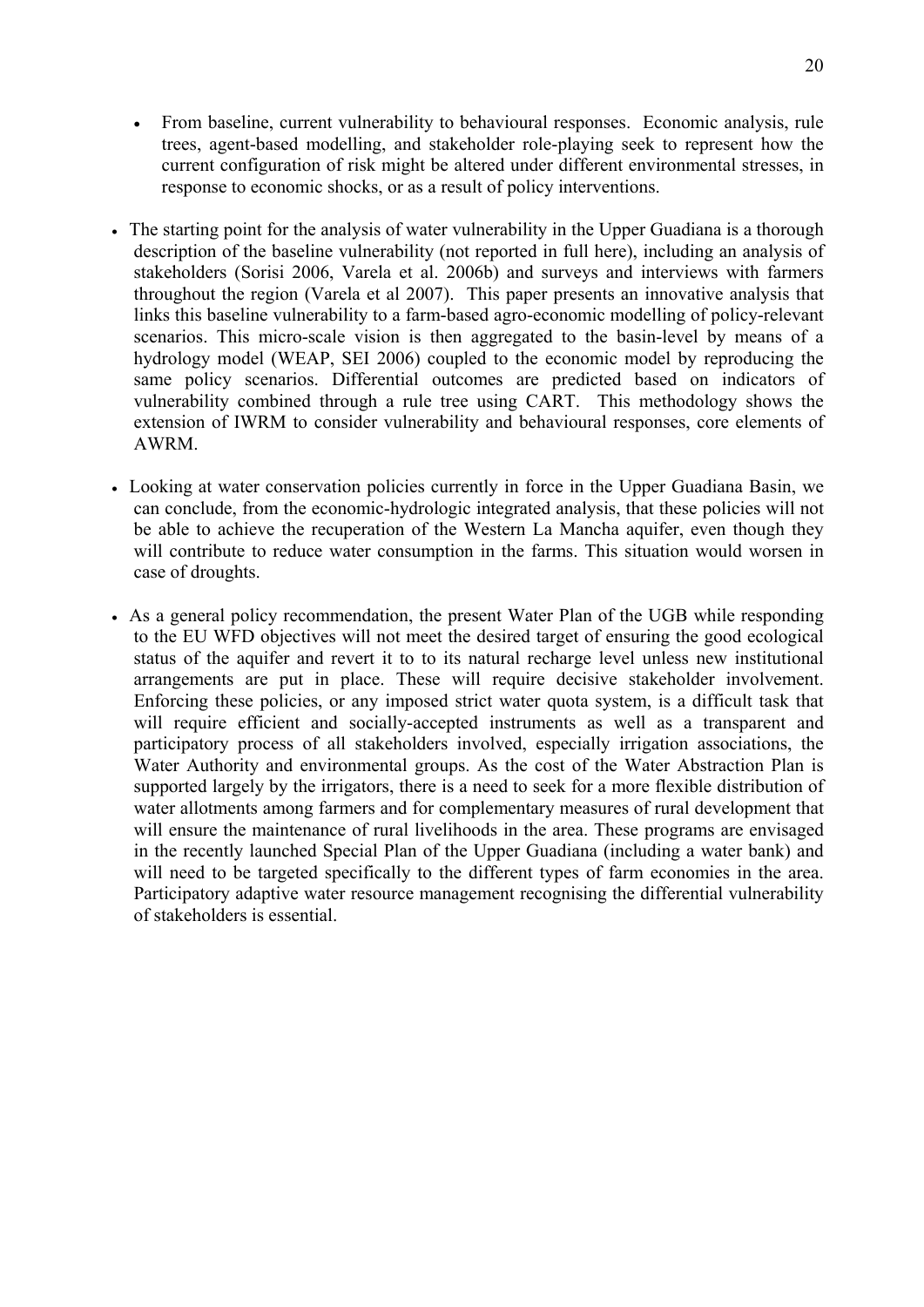- current configuration of risk might be altered under different environmental stresses, in From baseline, current vulnerability to behavioural responses. Economic analysis, rule trees, agent-based modelling, and stakeholder role-playing seek to represent how the response to economic shocks, or as a result of policy interventions.
- The starting point for the analysis of water vulnerability in the Upper Guadiana is a thorough description of the baseline vulnerability (not reported in full here), including an analysis of stakeholders (Sorisi 2006, Varela et al. 2006b) and surveys and interviews with farmers throughout the region (Varela et al 2007). This paper presents an innovative analysis that links this baseline vulnerability to a farm-based agro-economic modelling of policy-relevant scenarios. This micro-scale vision is then aggregated to the basin-level by means of a hydrology model (WEAP, SEI 2006) coupled to the economic model by reproducing the same policy scenarios. Differential outcomes are predicted based on indicators of vulnerability combined through a rule tree using CART. This methodology shows the extension of IWRM to consider vulnerability and behavioural responses, core elements of AWRM.
- Looking at water conservation policies currently in force in the Upper Guadiana Basin, we can conclude, from the economic-hydrologic integrated analysis, that these policies will not be able to achieve the recuperation of the Western La Mancha aquifer, even though they will contribute to reduce water consumption in the farms. This situation would worsen in case of droughts.
- As a general policy recommendation, the present Water Plan of the UGB while responding to the EU WFD objectives will not meet the desired target of ensuring the good ecological status of the aquifer and revert it to to its natural recharge level unless new institutional arrangements are put in place. These will require decisive stakeholder involvement. Enforcing these policies, or any imposed strict water quota system, is a difficult task that will require efficient and socially-accepted instruments as well as a transparent and participatory process of all stakeholders involved, especially irrigation associations, the Water Authority and environmental groups. As the cost of the Water Abstraction Plan is supported largely by the irrigators, there is a need to seek for a more flexible distribution of water allotments among farmers and for complementary measures of rural development that will ensure the maintenance of rural livelihoods in the area. These programs are envisaged in the recently launched Special Plan of the Upper Guadiana (including a water bank) and will need to be targeted specifically to the different types of farm economies in the area. Participatory adaptive water resource management recognising the differential vulnerability of stakeholders is essential.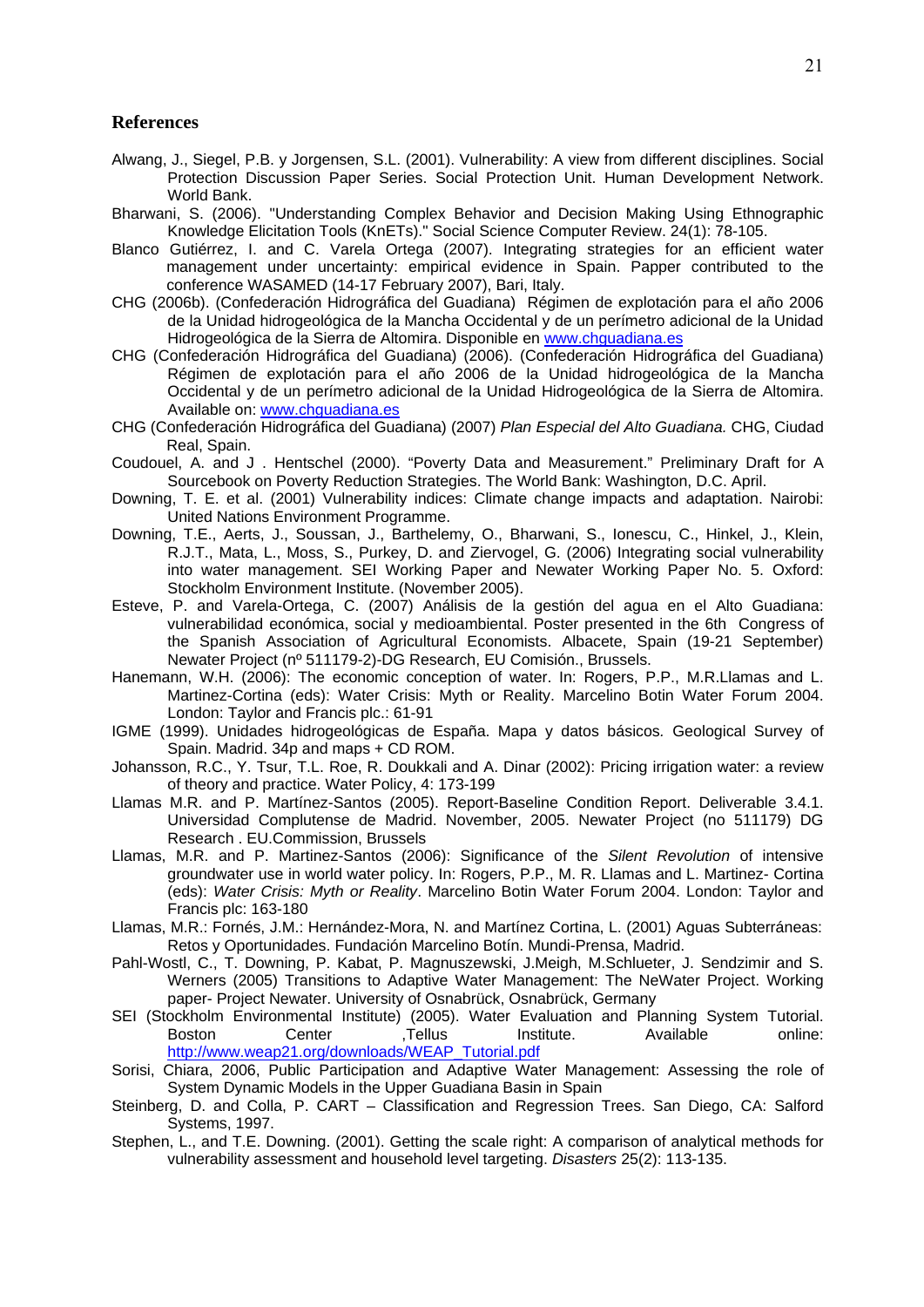#### **References**

- Alwang, J., Siegel, P.B. y Jorgensen, S.L. (2001). Vulnerability: A view from different disciplines. Social Protection Discussion Paper Series. Social Protection Unit. Human Development Network. World Bank.
- Bharwani, S. (2006). "Understanding Complex Behavior and Decision Making Using Ethnographic Knowledge Elicitation Tools (KnETs)." Social Science Computer Review. 24(1): 78-105.
- Blanco Gutiérrez, I. and C. Varela Ortega (2007). Integrating strategies for an efficient water management under uncertainty: empirical evidence in Spain. Papper contributed to the conference WASAMED (14-17 February 2007), Bari, Italy.
- CHG (2006b). (Confederación Hidrográfica del Guadiana) Régimen de explotación para el año 2006 de la Unidad hidrogeológica de la Mancha Occidental y de un perímetro adicional de la Unidad Hidrogeológica de la Sierra de Altomira. Disponible en [www.chguadiana.es](http://www.chguadiana.es/)
- CHG (Confederación Hidrográfica del Guadiana) (2006). (Confederación Hidrográfica del Guadiana) Régimen de explotación para el año 2006 de la Unidad hidrogeológica de la Mancha Occidental y de un perímetro adicional de la Unidad Hidrogeológica de la Sierra de Altomira. Available on: [www.chguadiana.es](http://www.chguadiana.es/)
- CHG (Confederación Hidrográfica del Guadiana) (2007) *Plan Especial del Alto Guadiana.* CHG, Ciudad Real, Spain.
- Coudouel, A. and J . Hentschel (2000). "Poverty Data and Measurement." Preliminary Draft for A Sourcebook on Poverty Reduction Strategies. The World Bank: Washington, D.C. April.
- Downing, T. E. et al. (2001) Vulnerability indices: Climate change impacts and adaptation. Nairobi: United Nations Environment Programme.
- Downing, T.E., Aerts, J., Soussan, J., Barthelemy, O., Bharwani, S., Ionescu, C., Hinkel, J., Klein, R.J.T., Mata, L., Moss, S., Purkey, D. and Ziervogel, G. (2006) Integrating social vulnerability into water management. SEI Working Paper and Newater Working Paper No. 5. Oxford: Stockholm Environment Institute. (November 2005).
- Esteve, P. and Varela-Ortega, C. (2007) Análisis de la gestión del agua en el Alto Guadiana: vulnerabilidad económica, social y medioambiental. Poster presented in the 6th Congress of the Spanish Association of Agricultural Economists. Albacete, Spain (19-21 September) Newater Project (nº 511179-2)-DG Research, EU Comisión., Brussels.
- Hanemann, W.H. (2006): The economic conception of water. In: Rogers, P.P., M.R.Llamas and L. Martinez-Cortina (eds): Water Crisis: Myth or Reality. Marcelino Botin Water Forum 2004. London: Taylor and Francis plc.: 61-91
- IGME (1999). Unidades hidrogeológicas de España. Mapa y datos básicos*.* Geological Survey of Spain. Madrid. 34p and maps + CD ROM.
- Johansson, R.C., Y. Tsur, T.L. Roe, R. Doukkali and A. Dinar (2002): Pricing irrigation water: a review of theory and practice. Water Policy, 4: 173-199
- Llamas M.R. and P. Martínez-Santos (2005). Report-Baseline Condition Report. Deliverable 3.4.1. Universidad Complutense de Madrid. November, 2005. Newater Project (no 511179) DG Research . EU.Commission, Brussels
- Llamas, M.R. and P. Martinez-Santos (2006): Significance of the *Silent Revolution* of intensive groundwater use in world water policy. In: Rogers, P.P., M. R. Llamas and L. Martinez- Cortina (eds): *Water Crisis: Myth or Reality*. Marcelino Botin Water Forum 2004. London: Taylor and Francis plc: 163-180
- Llamas, M.R.: Fornés, J.M.: Hernández-Mora, N. and Martínez Cortina, L. (2001) Aguas Subterráneas: Retos y Oportunidades. Fundación Marcelino Botín. Mundi-Prensa, Madrid.
- Pahl-Wostl, C., T. Downing, P. Kabat, P. Magnuszewski, J.Meigh, M.Schlueter, J. Sendzimir and S. Werners (2005) Transitions to Adaptive Water Management: The NeWater Project. Working paper- Project Newater. University of Osnabrück, Osnabrück, Germany
- SEI (Stockholm Environmental Institute) (2005). Water Evaluation and Planning System Tutorial. Boston Center ,Tellus Institute. Available online: [http://www.weap21.org/downloads/WEAP\\_Tutorial.pdf](http://www.weap21.org/downloads/WEAP_Tutorial.pdf)
- Sorisi, Chiara, 2006, Public Participation and Adaptive Water Management: Assessing the role of System Dynamic Models in the Upper Guadiana Basin in Spain
- Steinberg, D. and Colla, P. CART Classification and Regression Trees. San Diego, CA: Salford Systems, 1997.
- Stephen, L., and T.E. Downing. (2001). Getting the scale right: A comparison of analytical methods for vulnerability assessment and household level targeting. *Disasters* 25(2): 113-135.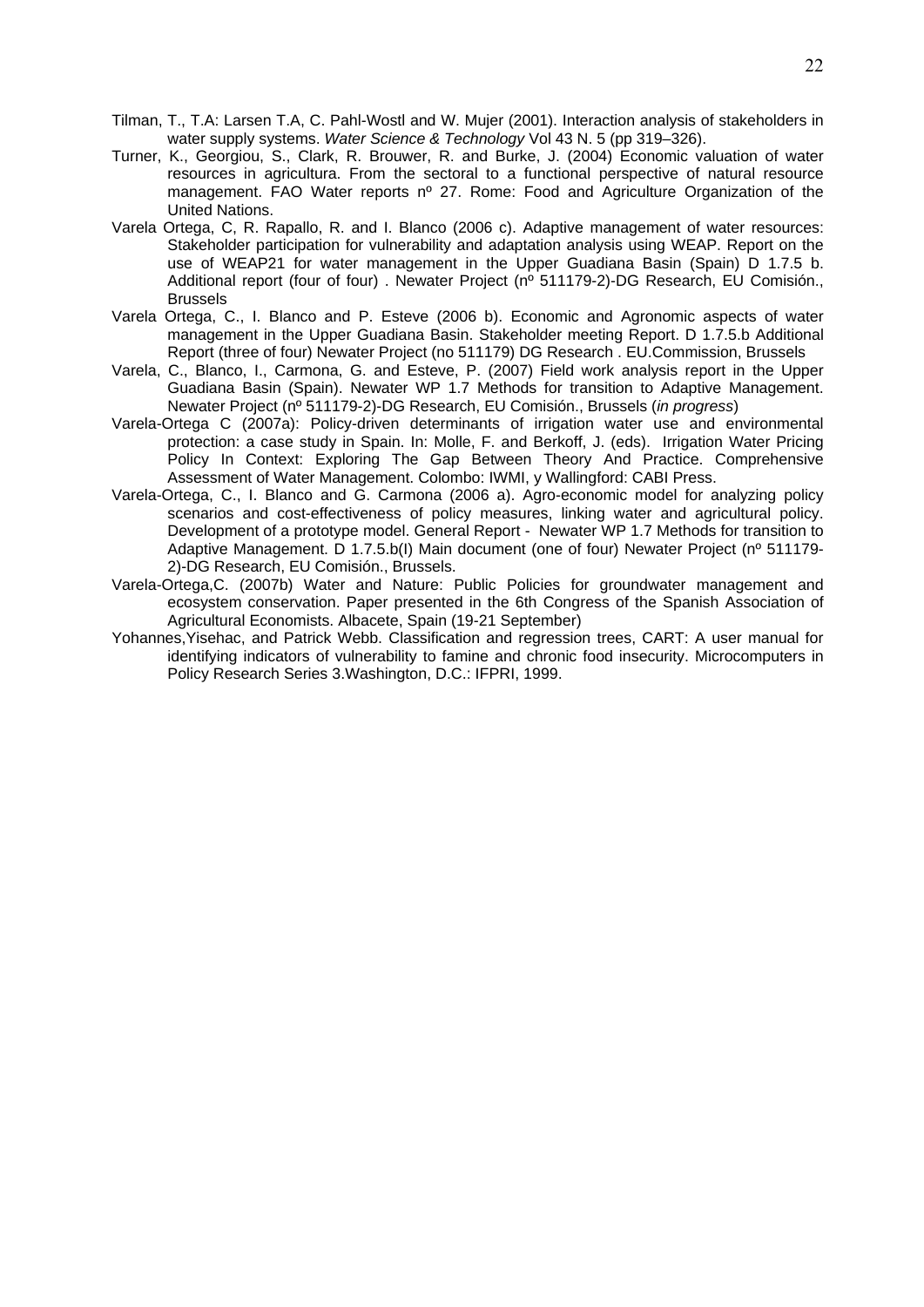- 22
- Tilman, T., T.A: Larsen T.A, C. Pahl-Wostl and W. Mujer (2001). Interaction analysis of stakeholders in water supply systems. *Water Science & Technology* Vol 43 N. 5 (pp 319–326).
- Turner, K., Georgiou, S., Clark, R. Brouwer, R. and Burke, J. (2004) Economic valuation of water resources in agricultura. From the sectoral to a functional perspective of natural resource management. FAO Water reports nº 27. Rome: Food and Agriculture Organization of the United Nations.
- Varela Ortega, C, R. Rapallo, R. and I. Blanco (2006 c). Adaptive management of water resources: Stakeholder participation for vulnerability and adaptation analysis using WEAP. Report on the use of WEAP21 for water management in the Upper Guadiana Basin (Spain) D 1.7.5 b. Additional report (four of four) . Newater Project (nº 511179-2)-DG Research, EU Comisión., Brussels
- Varela Ortega, C., I. Blanco and P. Esteve (2006 b). Economic and Agronomic aspects of water management in the Upper Guadiana Basin. Stakeholder meeting Report. D 1.7.5.b Additional Report (three of four) Newater Project (no 511179) DG Research . EU.Commission, Brussels
- Varela, C., Blanco, I., Carmona, G. and Esteve, P. (2007) Field work analysis report in the Upper Guadiana Basin (Spain). Newater WP 1.7 Methods for transition to Adaptive Management. Newater Project (nº 511179-2)-DG Research, EU Comisión., Brussels (*in progress*)
- Varela-Ortega C (2007a): Policy-driven determinants of irrigation water use and environmental protection: a case study in Spain. In: Molle, F. and Berkoff, J. (eds). Irrigation Water Pricing Policy In Context: Exploring The Gap Between Theory And Practice. Comprehensive Assessment of Water Management. Colombo: IWMI, y Wallingford: CABI Press.
- Varela-Ortega, C., I. Blanco and G. Carmona (2006 a). Agro-economic model for analyzing policy scenarios and cost-effectiveness of policy measures, linking water and agricultural policy. Development of a prototype model. General Report - Newater WP 1.7 Methods for transition to Adaptive Management. D 1.7.5.b(I) Main document (one of four) Newater Project (nº 511179- 2)-DG Research, EU Comisión., Brussels.
- Varela-Ortega,C. (2007b) Water and Nature: Public Policies for groundwater management and ecosystem conservation. Paper presented in the 6th Congress of the Spanish Association of Agricultural Economists. Albacete, Spain (19-21 September)
- Yohannes,Yisehac, and Patrick Webb. Classification and regression trees, CART: A user manual for identifying indicators of vulnerability to famine and chronic food insecurity. Microcomputers in Policy Research Series 3.Washington, D.C.: IFPRI, 1999.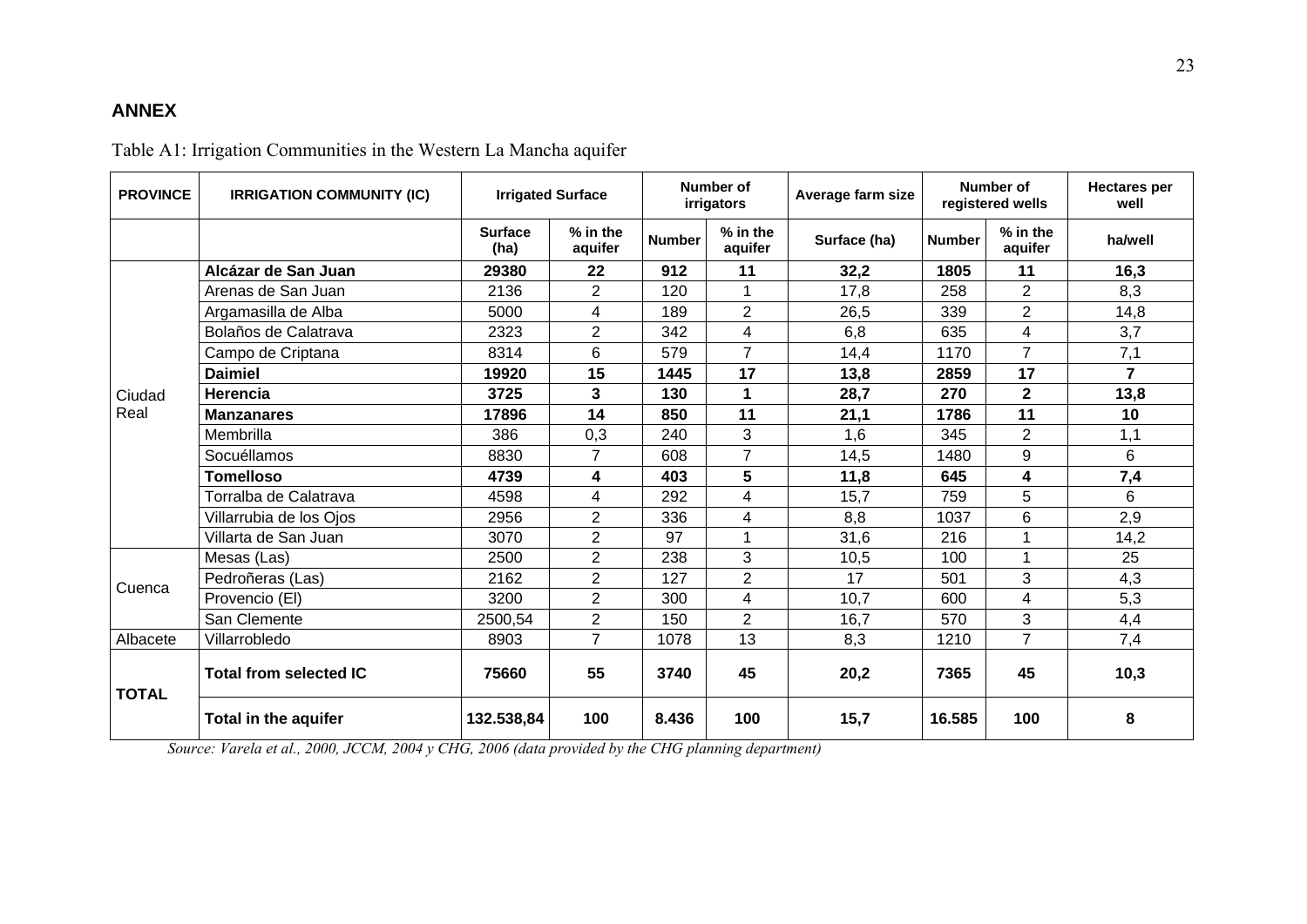## **ANNEX**

Table A1: Irrigation Communities in the Western La Mancha aquifer

| <b>PROVINCE</b> | <b>IRRIGATION COMMUNITY (IC)</b> | <b>Irrigated Surface</b> |                     |               | Number of<br>irrigators | Average farm size |               | Number of<br>registered wells | <b>Hectares per</b><br>well |
|-----------------|----------------------------------|--------------------------|---------------------|---------------|-------------------------|-------------------|---------------|-------------------------------|-----------------------------|
|                 |                                  | <b>Surface</b><br>(ha)   | % in the<br>aquifer | <b>Number</b> | % in the<br>aquifer     | Surface (ha)      | <b>Number</b> | % in the<br>aquifer           | ha/well                     |
| Ciudad<br>Real  | Alcázar de San Juan              | 29380                    | 22                  | 912           | 11                      | 32,2              | 1805          | 11                            | 16,3                        |
|                 | Arenas de San Juan               | 2136                     | $\overline{2}$      | 120           |                         | 17,8              | 258           | $\overline{2}$                | 8,3                         |
|                 | Argamasilla de Alba              | 5000                     | 4                   | 189           | $\overline{2}$          | 26,5              | 339           | $\overline{2}$                | 14,8                        |
|                 | Bolaños de Calatrava             | 2323                     | $\overline{2}$      | 342           | 4                       | 6,8               | 635           | 4                             | 3,7                         |
|                 | Campo de Criptana                | 8314                     | $6\phantom{1}6$     | 579           | $\overline{7}$          | 14,4              | 1170          | $\overline{7}$                | 7,1                         |
|                 | <b>Daimiel</b>                   | 19920                    | 15                  | 1445          | 17                      | 13,8              | 2859          | 17                            | $\overline{7}$              |
|                 | <b>Herencia</b>                  | 3725                     | 3                   | 130           | 1                       | 28,7              | 270           | $\overline{2}$                | 13,8                        |
|                 | <b>Manzanares</b>                | 17896                    | 14                  | 850           | 11                      | 21,1              | 1786          | 11                            | 10                          |
|                 | Membrilla                        | 386                      | 0,3                 | 240           | 3                       | 1,6               | 345           | $\overline{2}$                | 1,1                         |
|                 | Socuéllamos                      | 8830                     | $\overline{7}$      | 608           | $\overline{7}$          | 14,5              | 1480          | 9                             | 6                           |
|                 | <b>Tomelloso</b>                 | 4739                     | 4                   | 403           | 5                       | 11,8              | 645           | 4                             | 7,4                         |
|                 | Torralba de Calatrava            | 4598                     | 4                   | 292           | 4                       | 15,7              | 759           | 5                             | 6                           |
|                 | Villarrubia de los Ojos          | 2956                     | $\overline{2}$      | 336           | $\overline{4}$          | 8,8               | 1037          | 6                             | 2,9                         |
|                 | Villarta de San Juan             | 3070                     | $\overline{2}$      | 97            | 1                       | 31,6              | 216           | -1                            | 14,2                        |
|                 | Mesas (Las)                      | 2500                     | $\overline{2}$      | 238           | 3                       | 10,5              | 100           |                               | 25                          |
|                 | Pedroñeras (Las)                 | 2162                     | $\overline{2}$      | 127           | $\overline{2}$          | 17                | 501           | 3                             | 4,3                         |
| Cuenca          | Provencio (EI)                   | 3200                     | $\overline{2}$      | 300           | 4                       | 10,7              | 600           | 4                             | 5,3                         |
|                 | San Clemente                     | 2500,54                  | $\overline{2}$      | 150           | $\overline{2}$          | 16,7              | 570           | 3                             | 4,4                         |
| Albacete        | Villarrobledo                    | 8903                     | $\overline{7}$      | 1078          | 13                      | 8,3               | 1210          | $\overline{7}$                | 7,4                         |
| <b>TOTAL</b>    | <b>Total from selected IC</b>    | 75660                    | 55                  | 3740          | 45                      | 20,2              | 7365          | 45                            | 10,3                        |
|                 | Total in the aquifer             | 132.538,84               | 100                 | 8.436         | 100                     | 15,7              | 16.585        | 100                           | 8                           |

*Source: Varela et al., 2000, JCCM, 2004 y CHG, 2006 (data provided by the CHG planning department)*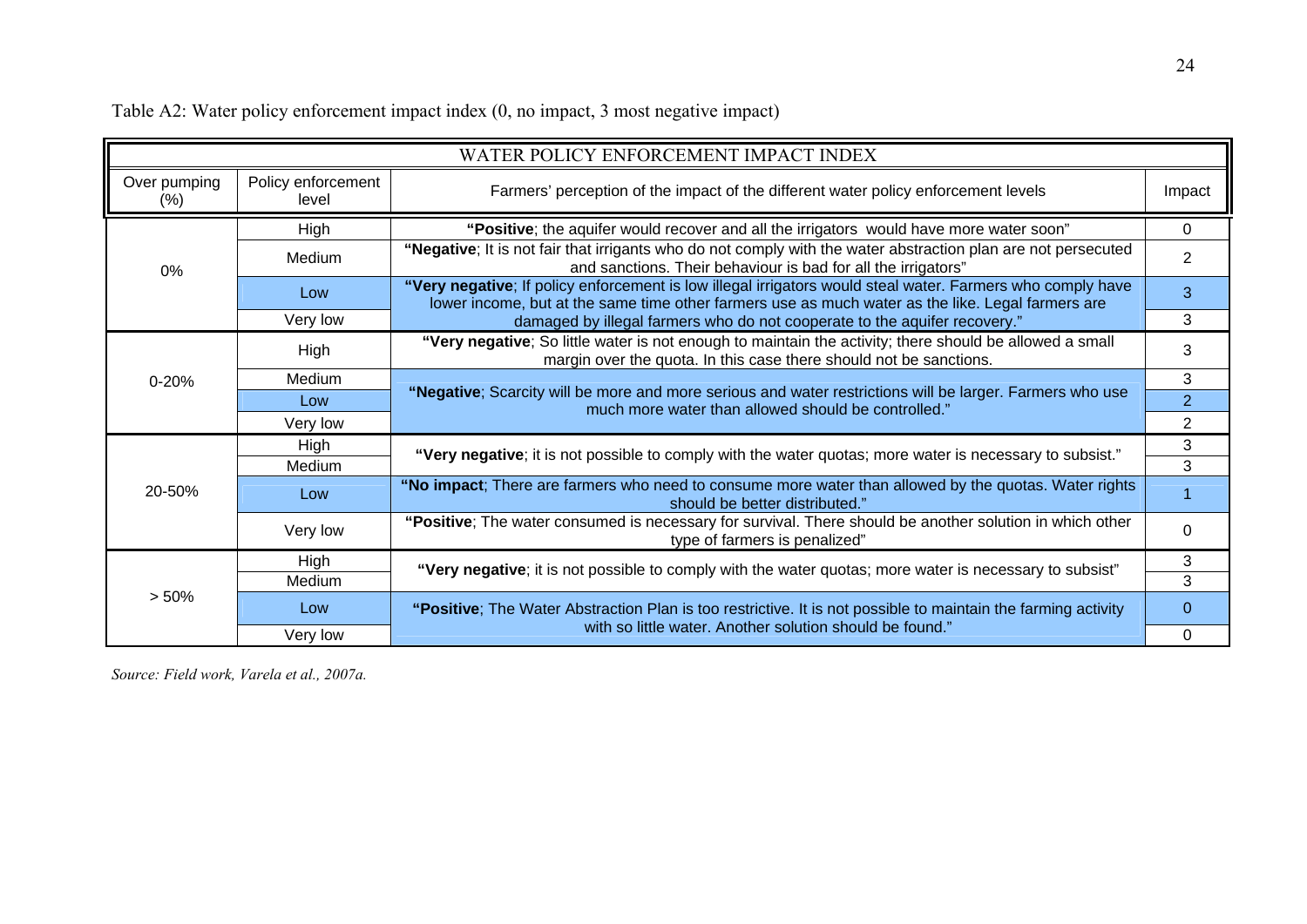Table A2: Water policy enforcement impact index (0, no impact, 3 most negative impact)

| WATER POLICY ENFORCEMENT IMPACT INDEX |                             |                                                                                                                                                                                                                 |          |  |  |  |
|---------------------------------------|-----------------------------|-----------------------------------------------------------------------------------------------------------------------------------------------------------------------------------------------------------------|----------|--|--|--|
| Over pumping<br>$(\% )$               | Policy enforcement<br>level | Farmers' perception of the impact of the different water policy enforcement levels                                                                                                                              |          |  |  |  |
| $0\%$                                 | High                        | "Positive; the aquifer would recover and all the irrigators would have more water soon"                                                                                                                         |          |  |  |  |
|                                       | Medium                      | "Negative; It is not fair that irrigants who do not comply with the water abstraction plan are not persecuted<br>and sanctions. Their behaviour is bad for all the irrigators"                                  |          |  |  |  |
|                                       | Low                         | "Very negative; If policy enforcement is low illegal irrigators would steal water. Farmers who comply have<br>lower income, but at the same time other farmers use as much water as the like. Legal farmers are |          |  |  |  |
|                                       | Very low                    | damaged by illegal farmers who do not cooperate to the aquifer recovery."                                                                                                                                       |          |  |  |  |
| $0 - 20%$                             | High                        | "Very negative; So little water is not enough to maintain the activity; there should be allowed a small<br>margin over the quota. In this case there should not be sanctions.                                   | 3        |  |  |  |
|                                       | Medium                      |                                                                                                                                                                                                                 |          |  |  |  |
|                                       | Low                         | "Negative; Scarcity will be more and more serious and water restrictions will be larger. Farmers who use<br>much more water than allowed should be controlled."                                                 |          |  |  |  |
|                                       | Very low                    |                                                                                                                                                                                                                 |          |  |  |  |
| 20-50%                                | High                        | "Very negative; it is not possible to comply with the water quotas; more water is necessary to subsist."                                                                                                        |          |  |  |  |
|                                       | Medium                      |                                                                                                                                                                                                                 |          |  |  |  |
|                                       | Low                         | "No impact; There are farmers who need to consume more water than allowed by the quotas. Water rights<br>should be better distributed."                                                                         |          |  |  |  |
|                                       | Very low                    | "Positive; The water consumed is necessary for survival. There should be another solution in which other<br>type of farmers is penalized"                                                                       | $\Omega$ |  |  |  |
| > 50%                                 | High                        | "Very negative; it is not possible to comply with the water quotas; more water is necessary to subsist"                                                                                                         |          |  |  |  |
|                                       | Medium                      |                                                                                                                                                                                                                 |          |  |  |  |
|                                       | Low                         | "Positive; The Water Abstraction Plan is too restrictive. It is not possible to maintain the farming activity<br>with so little water. Another solution should be found."                                       |          |  |  |  |
|                                       | Very low                    |                                                                                                                                                                                                                 |          |  |  |  |

*Source: Field work, Varela et al., 2007a.*